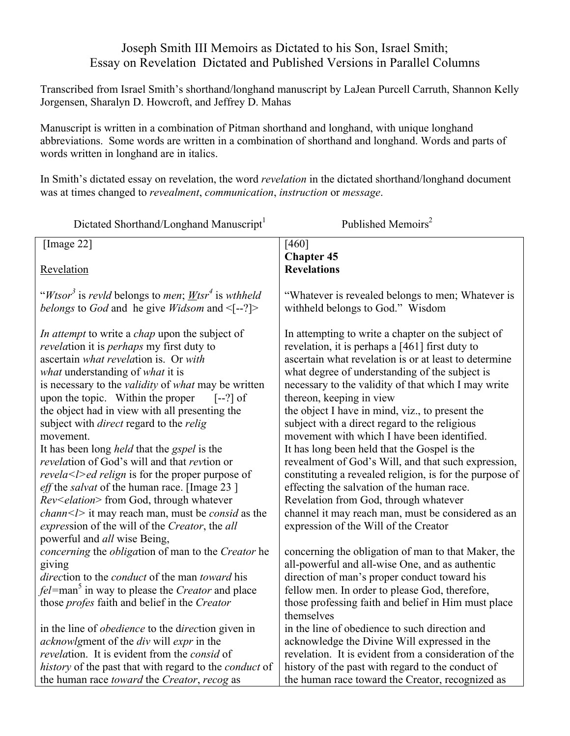# Joseph Smith III Memoirs as Dictated to his Son, Israel Smith; Essay on Revelation Dictated and Published Versions in Parallel Columns

Transcribed from Israel Smith's shorthand/longhand manuscript by LaJean Purcell Carruth, Shannon Kelly Jorgensen, Sharalyn D. Howcroft, and Jeffrey D. Mahas

Manuscript is written in a combination of Pitman shorthand and longhand, with unique longhand abbreviations. Some words are written in a combination of shorthand and longhand. Words and parts of words written in longhand are in italics.

In Smith's dictated essay on revelation, the word *revelation* in the dictated shorthand/longhand document was at times changed to *revealment*, *communication*, *instruction* or *message*.

| Dictated Shorthand/Longhand Manuscript <sup>1</sup>                                                                                                                                                                                                                                                                                                                                                                                                                                                                                                                                                                                                                                                                                                                                                                                                | Published Memoirs <sup>2</sup>                                                                                                                                                                                                                                                                                                                                                                                                                                                                                                                                                                                                                                                                                                                                                                                 |
|----------------------------------------------------------------------------------------------------------------------------------------------------------------------------------------------------------------------------------------------------------------------------------------------------------------------------------------------------------------------------------------------------------------------------------------------------------------------------------------------------------------------------------------------------------------------------------------------------------------------------------------------------------------------------------------------------------------------------------------------------------------------------------------------------------------------------------------------------|----------------------------------------------------------------------------------------------------------------------------------------------------------------------------------------------------------------------------------------------------------------------------------------------------------------------------------------------------------------------------------------------------------------------------------------------------------------------------------------------------------------------------------------------------------------------------------------------------------------------------------------------------------------------------------------------------------------------------------------------------------------------------------------------------------------|
| [Image 22]                                                                                                                                                                                                                                                                                                                                                                                                                                                                                                                                                                                                                                                                                                                                                                                                                                         | $[460]$                                                                                                                                                                                                                                                                                                                                                                                                                                                                                                                                                                                                                                                                                                                                                                                                        |
| Revelation                                                                                                                                                                                                                                                                                                                                                                                                                                                                                                                                                                                                                                                                                                                                                                                                                                         | <b>Chapter 45</b><br><b>Revelations</b>                                                                                                                                                                                                                                                                                                                                                                                                                                                                                                                                                                                                                                                                                                                                                                        |
| " <i>Wtsor</i> <sup>3</sup> is <i>revid</i> belongs to <i>men</i> ; <i>Wtsr</i> <sup>4</sup> is <i>wthheld</i><br>belongs to God and he give Widsom and $\leq$ [--?]>                                                                                                                                                                                                                                                                                                                                                                                                                                                                                                                                                                                                                                                                              | "Whatever is revealed belongs to men; Whatever is<br>withheld belongs to God." Wisdom                                                                                                                                                                                                                                                                                                                                                                                                                                                                                                                                                                                                                                                                                                                          |
| In attempt to write a <i>chap</i> upon the subject of<br><i>revelation</i> it is <i>perhaps</i> my first duty to<br>ascertain what revelation is. Or with<br>what understanding of what it is<br>is necessary to the <i>validity</i> of <i>what</i> may be written<br>upon the topic. Within the proper<br>$[-?)$ of<br>the object had in view with all presenting the<br>subject with <i>direct</i> regard to the <i>relig</i><br>movement.<br>It has been long <i>held</i> that the <i>gspel</i> is the<br>revelation of God's will and that revtion or<br>revela <l>ed relign is for the proper purpose of<br/><i>eff</i> the <i>salvat</i> of the human race. [Image 23]<br/>Rev<elation> from God, through whatever<br/>chann<l> it may reach man, must be consid as the<br/>expression of the will of the Creator, the all</l></elation></l> | In attempting to write a chapter on the subject of<br>revelation, it is perhaps a [461] first duty to<br>ascertain what revelation is or at least to determine<br>what degree of understanding of the subject is<br>necessary to the validity of that which I may write<br>thereon, keeping in view<br>the object I have in mind, viz., to present the<br>subject with a direct regard to the religious<br>movement with which I have been identified.<br>It has long been held that the Gospel is the<br>revealment of God's Will, and that such expression,<br>constituting a revealed religion, is for the purpose of<br>effecting the salvation of the human race.<br>Revelation from God, through whatever<br>channel it may reach man, must be considered as an<br>expression of the Will of the Creator |
| powerful and all wise Being,<br>concerning the obligation of man to the Creator he<br>giving<br>direction to the <i>conduct</i> of the man <i>toward</i> his<br><i>fel</i> =man <sup>5</sup> in way to please the <i>Creator</i> and place<br>those <i>profes</i> faith and belief in the Creator                                                                                                                                                                                                                                                                                                                                                                                                                                                                                                                                                  | concerning the obligation of man to that Maker, the<br>all-powerful and all-wise One, and as authentic<br>direction of man's proper conduct toward his<br>fellow men. In order to please God, therefore,<br>those professing faith and belief in Him must place<br>themselves                                                                                                                                                                                                                                                                                                                                                                                                                                                                                                                                  |
| in the line of <i>obedience</i> to the direction given in<br>acknowlgment of the div will expr in the<br>revelation. It is evident from the consid of<br>history of the past that with regard to the <i>conduct</i> of<br>the human race <i>toward</i> the <i>Creator</i> , <i>recog</i> as                                                                                                                                                                                                                                                                                                                                                                                                                                                                                                                                                        | in the line of obedience to such direction and<br>acknowledge the Divine Will expressed in the<br>revelation. It is evident from a consideration of the<br>history of the past with regard to the conduct of<br>the human race toward the Creator, recognized as                                                                                                                                                                                                                                                                                                                                                                                                                                                                                                                                               |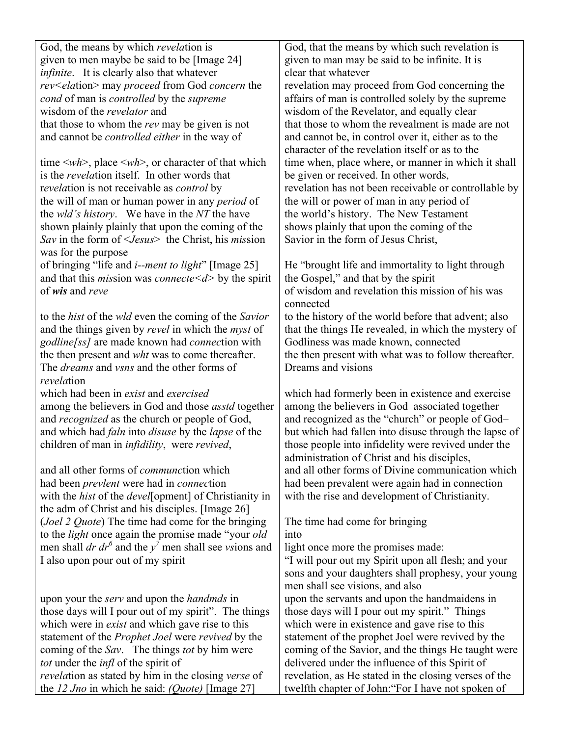God, the means by which *revela*tion is given to men maybe be said to be [Image 24] *infinite*. It is clearly also that whatever *rev<ela*tion> may *proceed* from God *concern* the *cond* of man is *controlled* by the *supreme* wisdom of the *revelator* and that those to whom the *rev* may be given is not and cannot be *controlled either* in the way of

time <*wh*>, place <*wh*>, or character of that which is the *revela*tion itself. In other words that r*evela*tion is not receivable as *control* by the will of man or human power in any *period* of the *wld's history*. We have in the *NT* the have shown plainly plainly that upon the coming of the *Sav* in the form of <*Jesus*> the Christ, his *mis*sion was for the purpose

of bringing "life and *i--ment to light*" [Image 25] and that this *mis*sion was *connecte<d>* by the spirit of *wis* and *reve*

to the *hist* of the *wld* even the coming of the *Savior* and the things given by *revel* in which the *myst* of *godline[ss]* are made known had *connec*tion with the then present and *wht* was to come thereafter. The *dreams* and *vsns* and the other forms of *revela*tion

which had been in *exist* and *exercised* among the believers in God and those *asstd* together and *recognized* as the church or people of God, and which had *faln* into *disuse* by the *lapse* of the children of man in *infidility*, were *revived*,

and all other forms of *communc*tion which had been *prevlent* were had in *connec*tion with the *hist* of the *devel*[opment] of Christianity in the adm of Christ and his disciples. [Image 26] (*Joel 2 Quote*) The time had come for the bringing to the *light* once again the promise made "your *old* men shall *dr dr*<sup>6</sup> and the  $y<sup>7</sup>$  men shall see *vs*ions and I also upon pour out of my spirit

upon your the *serv* and upon the *handmds* in those days will I pour out of my spirit". The things which were in *exist* and which gave rise to this statement of the *Prophet Joel* were *revived* by the coming of the *Sav*. The things *tot* by him were *tot* under the *infl* of the spirit of *revela*tion as stated by him in the closing *verse* of the *12 Jno* in which he said: *(Quote)* [Image 27]

God, that the means by which such revelation is given to man may be said to be infinite. It is clear that whatever

revelation may proceed from God concerning the affairs of man is controlled solely by the supreme wisdom of the Revelator, and equally clear that those to whom the revealment is made are not and cannot be, in control over it, either as to the character of the revelation itself or as to the time when, place where, or manner in which it shall be given or received. In other words, revelation has not been receivable or controllable by the will or power of man in any period of the world's history. The New Testament shows plainly that upon the coming of the Savior in the form of Jesus Christ,

He "brought life and immortality to light through the Gospel," and that by the spirit of wisdom and revelation this mission of his was connected

to the history of the world before that advent; also that the things He revealed, in which the mystery of Godliness was made known, connected the then present with what was to follow thereafter. Dreams and visions

which had formerly been in existence and exercise among the believers in God–associated together and recognized as the "church" or people of God– but which had fallen into disuse through the lapse of those people into infidelity were revived under the administration of Christ and his disciples, and all other forms of Divine communication which had been prevalent were again had in connection with the rise and development of Christianity.

The time had come for bringing into

light once more the promises made:

"I will pour out my Spirit upon all flesh; and your sons and your daughters shall prophesy, your young men shall see visions, and also upon the servants and upon the handmaidens in those days will I pour out my spirit." Things which were in existence and gave rise to this statement of the prophet Joel were revived by the coming of the Savior, and the things He taught were delivered under the influence of this Spirit of revelation, as He stated in the closing verses of the twelfth chapter of John:"For I have not spoken of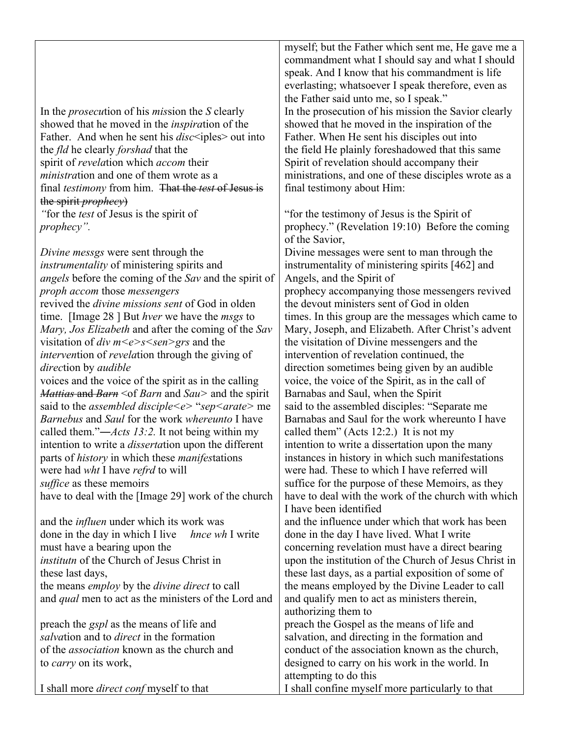In the *prosecu*tion of his *mis*sion the *S* clearly showed that he moved in the *inspira*tion of the Father. And when he sent his *disc*<iples> out into the *fld* he clearly *forshad* that the spirit of *revela*tion which *accom* their *ministra*tion and one of them wrote as a final *testimony* from him. That the *test* of Jesus is the spirit *prophecy*) *"*for the *test* of Jesus is the spirit of

*prophecy".* 

*Divine messgs* were sent through the *instrumentality* of ministering spirits and *angels* before the coming of the *Sav* and the spirit of *proph accom* those *messengers* revived the *divine missions sent* of God in olden time. [Image 28 ] But *hver* we have the *msgs* to *Mary, Jos Elizabeth* and after the coming of the *Sav* visitation of *div m<e>s<sen>grs* and the *interven*tion of *revela*tion through the giving of *direc*tion by *audible* voices and the voice of the spirit as in the calling *Mattias* and *Barn* <of *Barn* and *Sau>* and the spirit said to the *assembled disciple<e>* "*sep<arate>* me *Barnebus* and *Saul* for the work *whereunto* I have called them."―*Acts 13:2.* It not being within my intention to write a *disserta*tion upon the different parts of *history* in which these *manifes*tations were had *wht* I have *refrd* to will *suffice* as these memoirs have to deal with the [Image 29] work of the church

| and the <i>influen</i> under which its work was             | and the influence under which that work has been      |
|-------------------------------------------------------------|-------------------------------------------------------|
| done in the day in which I live <i>hnce wh</i> I write      | done in the day I have lived. What I write            |
| must have a bearing upon the                                | concerning revelation must have a direct bearing      |
| institutn of the Church of Jesus Christ in                  | upon the institution of the Church of Jesus Christ in |
| these last days,                                            | these last days, as a partial exposition of some of   |
| the means <i>employ</i> by the <i>divine direct</i> to call | the means employed by the Divine Leader to call       |
| and <i>qual</i> men to act as the ministers of the Lord and | and qualify men to act as ministers therein,          |
|                                                             | authorizing them to                                   |
| preach the <i>gspl</i> as the means of life and             | preach the Gospel as the means of life and            |
| salvation and to <i>direct</i> in the formation             | salvation, and directing in the formation and         |
| of the <i>association</i> known as the church and           | conduct of the association known as the church,       |
| to <i>carry</i> on its work,                                | designed to carry on his work in the world. In        |
|                                                             | attempting to do this                                 |
| I shall more <i>direct conf</i> myself to that              | I shall confine myself more particularly to that      |

myself; but the Father which sent me, He gave me a commandment what I should say and what I should speak. And I know that his commandment is life everlasting; whatsoever I speak therefore, even as the Father said unto me, so I speak." In the prosecution of his mission the Savior clearly showed that he moved in the inspiration of the Father. When He sent his disciples out into the field He plainly foreshadowed that this same Spirit of revelation should accompany their ministrations, and one of these disciples wrote as a final testimony about Him:

"for the testimony of Jesus is the Spirit of prophecy." (Revelation 19:10) Before the coming of the Savior, Divine messages were sent to man through the

instrumentality of ministering spirits [462] and Angels, and the Spirit of prophecy accompanying those messengers revived the devout ministers sent of God in olden times. In this group are the messages which came to Mary, Joseph, and Elizabeth. After Christ's advent the visitation of Divine messengers and the intervention of revelation continued, the direction sometimes being given by an audible voice, the voice of the Spirit, as in the call of Barnabas and Saul, when the Spirit said to the assembled disciples: "Separate me Barnabas and Saul for the work whereunto I have called them" (Acts 12:2.) It is not my intention to write a dissertation upon the many instances in history in which such manifestations were had. These to which I have referred will suffice for the purpose of these Memoirs, as they have to deal with the work of the church with which I have been identified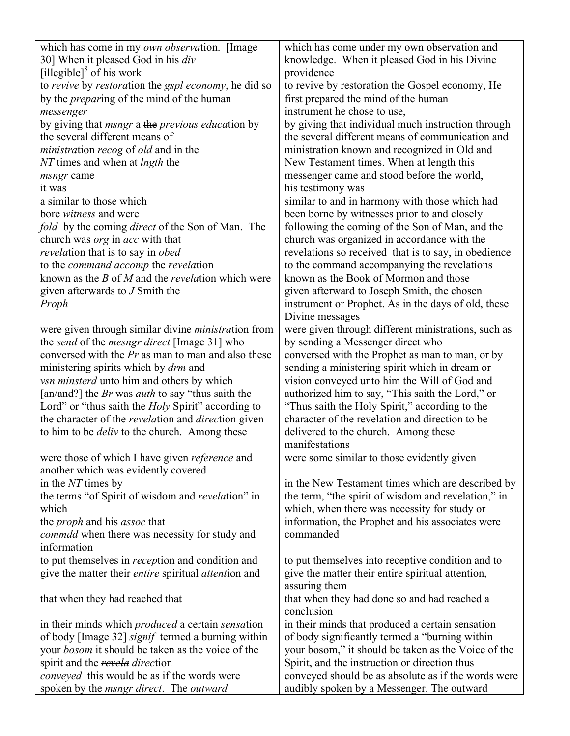| which has come in my own observation. [Image                                                     | which has come under my own observation and                                                            |
|--------------------------------------------------------------------------------------------------|--------------------------------------------------------------------------------------------------------|
| 30] When it pleased God in his div                                                               | knowledge. When it pleased God in his Divine                                                           |
| [illegible] $\delta$ of his work                                                                 | providence                                                                                             |
| to revive by restoration the gspl economy, he did so                                             | to revive by restoration the Gospel economy, He                                                        |
| by the <i>preparing</i> of the mind of the human                                                 | first prepared the mind of the human                                                                   |
| messenger                                                                                        | instrument he chose to use,                                                                            |
| by giving that <i>msngr</i> a the <i>previous education</i> by<br>the several different means of | by giving that individual much instruction through<br>the several different means of communication and |
| <i>ministration recog of old and in the</i>                                                      | ministration known and recognized in Old and                                                           |
| NT times and when at <i>lngth</i> the                                                            | New Testament times. When at length this                                                               |
| <i>msngr</i> came                                                                                | messenger came and stood before the world,                                                             |
| it was                                                                                           | his testimony was                                                                                      |
| a similar to those which                                                                         | similar to and in harmony with those which had                                                         |
| bore <i>witness</i> and were                                                                     | been borne by witnesses prior to and closely                                                           |
| fold by the coming direct of the Son of Man. The                                                 | following the coming of the Son of Man, and the                                                        |
| church was <i>org</i> in <i>acc</i> with that                                                    | church was organized in accordance with the                                                            |
| revelation that is to say in obed                                                                | revelations so received–that is to say, in obedience                                                   |
| to the <i>command accomp</i> the <i>revelation</i>                                               | to the command accompanying the revelations                                                            |
| known as the $B$ of $M$ and the <i>revelation</i> which were                                     | known as the Book of Mormon and those                                                                  |
| given afterwards to $J$ Smith the                                                                | given afterward to Joseph Smith, the chosen                                                            |
| Proph                                                                                            | instrument or Prophet. As in the days of old, these                                                    |
|                                                                                                  | Divine messages                                                                                        |
| were given through similar divine <i>ministration</i> from                                       | were given through different ministrations, such as                                                    |
| the send of the mesngr direct [Image 31] who                                                     | by sending a Messenger direct who                                                                      |
| conversed with the $Pr$ as man to man and also these                                             | conversed with the Prophet as man to man, or by                                                        |
| ministering spirits which by <i>drm</i> and                                                      | sending a ministering spirit which in dream or                                                         |
| vsn minsterd unto him and others by which                                                        | vision conveyed unto him the Will of God and                                                           |
| [an/and?] the <i>Br</i> was <i>auth</i> to say "thus saith the                                   | authorized him to say, "This saith the Lord," or                                                       |
| Lord" or "thus saith the <i>Holy</i> Spirit" according to                                        | "Thus saith the Holy Spirit," according to the                                                         |
| the character of the revelation and direction given                                              | character of the revelation and direction to be                                                        |
| to him to be <i>deliv</i> to the church. Among these                                             | delivered to the church. Among these                                                                   |
|                                                                                                  | manifestations                                                                                         |
| were those of which I have given reference and<br>another which was evidently covered            | were some similar to those evidently given                                                             |
| in the NT times by                                                                               | in the New Testament times which are described by                                                      |
| the terms "of Spirit of wisdom and revelation" in                                                | the term, "the spirit of wisdom and revelation," in                                                    |
| which                                                                                            | which, when there was necessity for study or                                                           |
| the <i>proph</i> and his <i>assoc</i> that                                                       | information, the Prophet and his associates were                                                       |
| <i>commdd</i> when there was necessity for study and                                             | commanded                                                                                              |
| information                                                                                      |                                                                                                        |
| to put themselves in <i>reception</i> and condition and                                          | to put themselves into receptive condition and to                                                      |
| give the matter their entire spiritual attention and                                             | give the matter their entire spiritual attention,                                                      |
|                                                                                                  | assuring them                                                                                          |
| that when they had reached that                                                                  | that when they had done so and had reached a                                                           |
|                                                                                                  | conclusion                                                                                             |
| in their minds which <i>produced</i> a certain <i>sensation</i>                                  | in their minds that produced a certain sensation                                                       |
| of body [Image 32] <i>signif</i> termed a burning within                                         | of body significantly termed a "burning within                                                         |
| your <i>bosom</i> it should be taken as the voice of the                                         | your bosom," it should be taken as the Voice of the                                                    |
| spirit and the revela direction                                                                  | Spirit, and the instruction or direction thus                                                          |
| <i>conveyed</i> this would be as if the words were                                               | conveyed should be as absolute as if the words were                                                    |
| spoken by the <i>msngr direct</i> . The <i>outward</i>                                           | audibly spoken by a Messenger. The outward                                                             |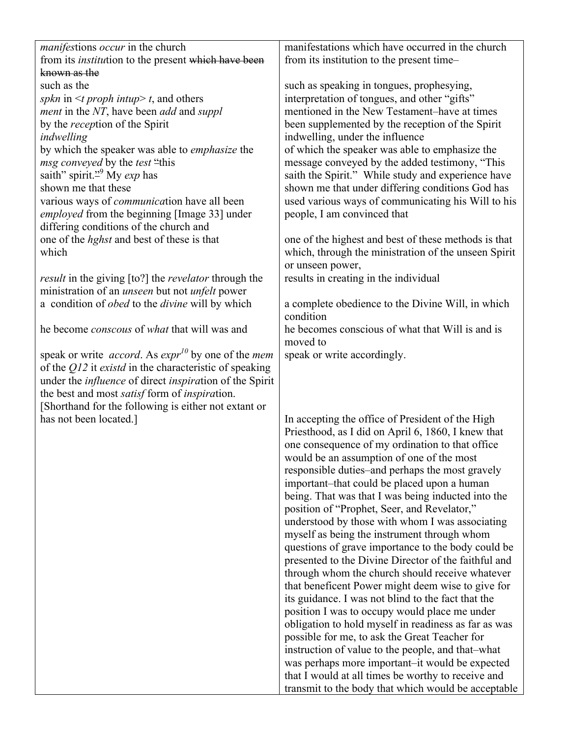| <i>manifestions occur in the church</i>                                   | manifestations which have occurred in the church     |
|---------------------------------------------------------------------------|------------------------------------------------------|
| from its <i>institution</i> to the present which have been                | from its institution to the present time-            |
| known as the                                                              |                                                      |
| such as the                                                               | such as speaking in tongues, prophesying,            |
| spkn in $\leq t$ proph intup> t, and others                               | interpretation of tongues, and other "gifts"         |
| ment in the NT, have been add and suppl                                   | mentioned in the New Testament-have at times         |
| by the <i>reception</i> of the Spirit                                     | been supplemented by the reception of the Spirit     |
| indwelling                                                                | indwelling, under the influence                      |
| by which the speaker was able to <i>emphasize</i> the                     | of which the speaker was able to emphasize the       |
| msg conveyed by the test "this                                            | message conveyed by the added testimony, "This       |
| saith" spirit. <sup>29</sup> My <i>exp</i> has                            | saith the Spirit." While study and experience have   |
| shown me that these                                                       | shown me that under differing conditions God has     |
| various ways of <i>communication</i> have all been                        | used various ways of communicating his Will to his   |
| employed from the beginning [Image 33] under                              | people, I am convinced that                          |
| differing conditions of the church and                                    |                                                      |
| one of the <i>hghst</i> and best of these is that                         | one of the highest and best of these methods is that |
| which                                                                     |                                                      |
|                                                                           | which, through the ministration of the unseen Spirit |
|                                                                           | or unseen power,                                     |
| <i>result</i> in the giving [to?] the <i>revelator</i> through the        | results in creating in the individual                |
| ministration of an <i>unseen</i> but not <i>unfelt</i> power              |                                                      |
| a condition of <i>obed</i> to the <i>divine</i> will by which             | a complete obedience to the Divine Will, in which    |
|                                                                           | condition                                            |
| he become conscous of what that will was and                              | he becomes conscious of what that Will is and is     |
|                                                                           | moved to                                             |
| speak or write <i>accord</i> . As $\exp(r^{10})$ by one of the <i>mem</i> | speak or write accordingly.                          |
| of the $Q12$ it <i>existd</i> in the characteristic of speaking           |                                                      |
| under the <i>influence</i> of direct <i>inspiration</i> of the Spirit     |                                                      |
| the best and most <i>satisf</i> form of <i>inspiration</i> .              |                                                      |
| [Shorthand for the following is either not extant or                      |                                                      |
| has not been located.]                                                    | In accepting the office of President of the High     |
|                                                                           | Priesthood, as I did on April 6, 1860, I knew that   |
|                                                                           | one consequence of my ordination to that office      |
|                                                                           | would be an assumption of one of the most            |
|                                                                           | responsible duties-and perhaps the most gravely      |
|                                                                           | important-that could be placed upon a human          |
|                                                                           | being. That was that I was being inducted into the   |
|                                                                           | position of "Prophet, Seer, and Revelator,"          |
|                                                                           |                                                      |
|                                                                           | understood by those with whom I was associating      |
|                                                                           | myself as being the instrument through whom          |
|                                                                           | questions of grave importance to the body could be   |
|                                                                           | presented to the Divine Director of the faithful and |
|                                                                           | through whom the church should receive whatever      |
|                                                                           | that beneficent Power might deem wise to give for    |
|                                                                           | its guidance. I was not blind to the fact that the   |
|                                                                           | position I was to occupy would place me under        |
|                                                                           | obligation to hold myself in readiness as far as was |
|                                                                           | possible for me, to ask the Great Teacher for        |
|                                                                           | instruction of value to the people, and that-what    |
|                                                                           | was perhaps more important-it would be expected      |
|                                                                           | that I would at all times be worthy to receive and   |
|                                                                           | transmit to the body that which would be acceptable  |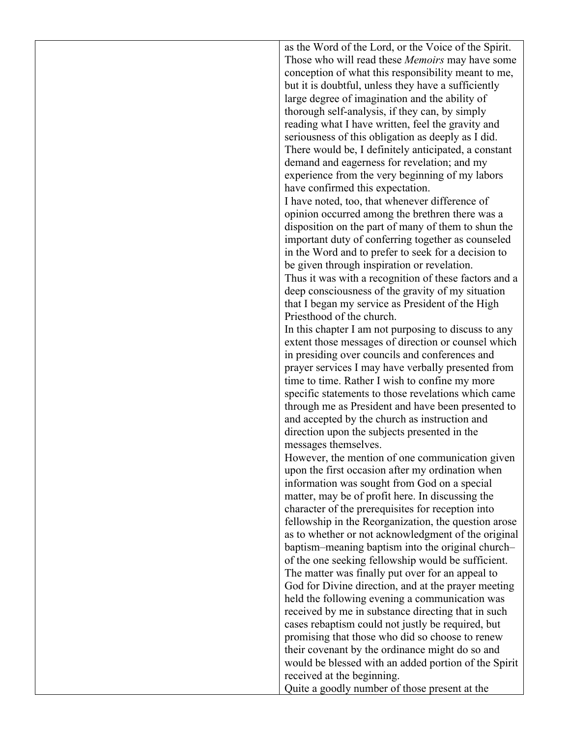as the Word of the Lord, or the Voice of the Spirit. Those who will read these *Memoirs* may have some conception of what this responsibility meant to me, but it is doubtful, unless they have a sufficiently large degree of imagination and the ability of thorough self-analysis, if they can, by simply reading what I have written, feel the gravity and seriousness of this obligation as deeply as I did. There would be, I definitely anticipated, a constant demand and eagerness for revelation; and my experience from the very beginning of my labors have confirmed this expectation.

I have noted, too, that whenever difference of opinion occurred among the brethren there was a disposition on the part of many of them to shun the important duty of conferring together as counseled in the Word and to prefer to seek for a decision to be given through inspiration or revelation. Thus it was with a recognition of these factors and a deep consciousness of the gravity of my situation that I began my service as President of the High Priesthood of the church.

In this chapter I am not purposing to discuss to any extent those messages of direction or counsel which in presiding over councils and conferences and prayer services I may have verbally presented from time to time. Rather I wish to confine my more specific statements to those revelations which came through me as President and have been presented to and accepted by the church as instruction and direction upon the subjects presented in the messages themselves.

However, the mention of one communication given upon the first occasion after my ordination when information was sought from God on a special matter, may be of profit here. In discussing the character of the prerequisites for reception into fellowship in the Reorganization, the question arose as to whether or not acknowledgment of the original baptism–meaning baptism into the original church– of the one seeking fellowship would be sufficient. The matter was finally put over for an appeal to God for Divine direction, and at the prayer meeting held the following evening a communication was received by me in substance directing that in such cases rebaptism could not justly be required, but promising that those who did so choose to renew their covenant by the ordinance might do so and would be blessed with an added portion of the Spirit received at the beginning.

Quite a goodly number of those present at the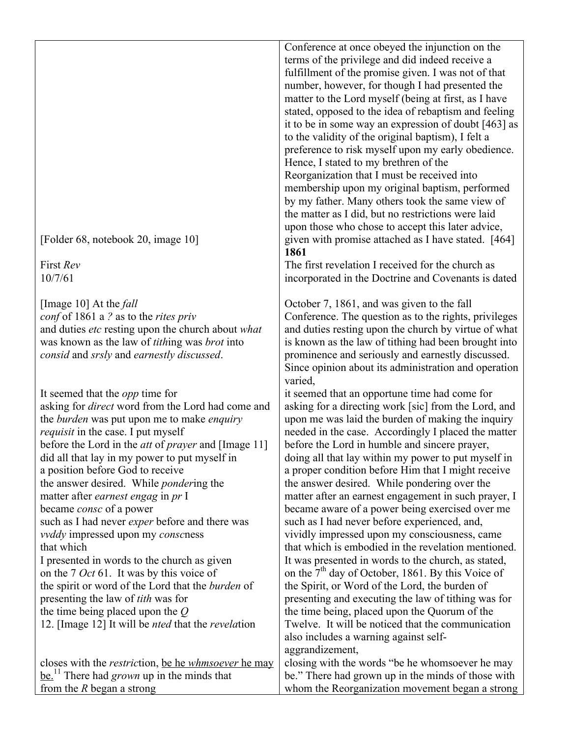[Folder 68, notebook 20, image 10]

First *Rev* 10/7/61

[Image 10] At the *fall conf* of 1861 a *?* as to the *rites priv* and duties *etc* resting upon the church about *what*  was known as the law of *tith*ing was *brot* into *consid* and *srsly* and *earnestly discussed*.

It seemed that the *opp* time for asking for *direct* word from the Lord had come and the *burden* was put upon me to make *enquiry requisit* in the case. I put myself before the Lord in the *att* of *prayer* and [Image 11] did all that lay in my power to put myself in a position before God to receive the answer desired. While *ponder*ing the matter after *earnest engag* in *pr* I became *consc* of a power such as I had never *exper* before and there was *vvddy* impressed upon my *consc*ness that which I presented in words to the church as given on the 7 *Oct* 61. It was by this voice of the spirit or word of the Lord that the *burden* of presenting the law of *tith* was for the time being placed upon the *Q* 12. [Image 12] It will be *nted* that the *revela*tion closes with the *restric*tion, be he *whmsoever* he may

be.11 There had *grown* up in the minds that from the *R* began a strong

Conference at once obeyed the injunction on the terms of the privilege and did indeed receive a fulfillment of the promise given. I was not of that number, however, for though I had presented the matter to the Lord myself (being at first, as I have stated, opposed to the idea of rebaptism and feeling it to be in some way an expression of doubt [463] as to the validity of the original baptism), I felt a preference to risk myself upon my early obedience. Hence, I stated to my brethren of the Reorganization that I must be received into membership upon my original baptism, performed by my father. Many others took the same view of the matter as I did, but no restrictions were laid upon those who chose to accept this later advice, given with promise attached as I have stated. [464] **1861**

The first revelation I received for the church as incorporated in the Doctrine and Covenants is dated

October 7, 1861, and was given to the fall Conference. The question as to the rights, privileges and duties resting upon the church by virtue of what is known as the law of tithing had been brought into prominence and seriously and earnestly discussed. Since opinion about its administration and operation varied,

it seemed that an opportune time had come for asking for a directing work [sic] from the Lord, and upon me was laid the burden of making the inquiry needed in the case. Accordingly I placed the matter before the Lord in humble and sincere prayer, doing all that lay within my power to put myself in a proper condition before Him that I might receive the answer desired. While pondering over the matter after an earnest engagement in such prayer, I became aware of a power being exercised over me such as I had never before experienced, and, vividly impressed upon my consciousness, came that which is embodied in the revelation mentioned. It was presented in words to the church, as stated, on the  $7<sup>th</sup>$  day of October, 1861. By this Voice of the Spirit, or Word of the Lord, the burden of presenting and executing the law of tithing was for the time being, placed upon the Quorum of the Twelve. It will be noticed that the communication also includes a warning against selfaggrandizement,

closing with the words "be he whomsoever he may be." There had grown up in the minds of those with whom the Reorganization movement began a strong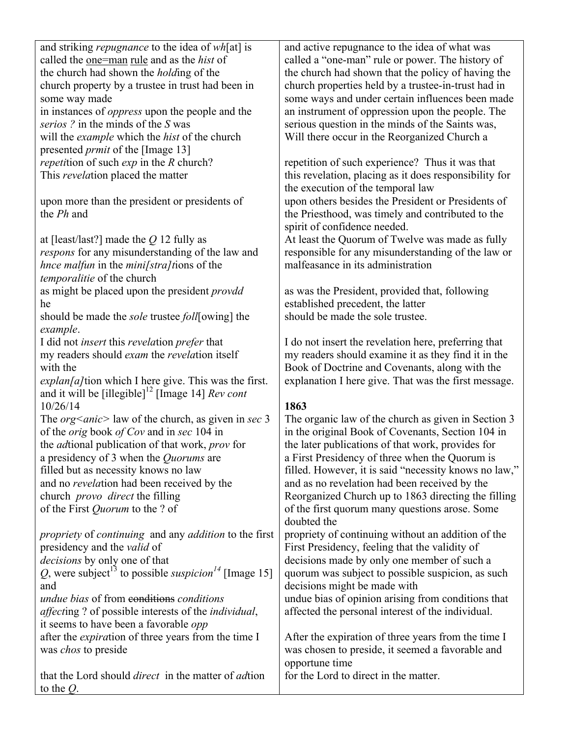| and striking <i>repugnance</i> to the idea of wh[at] is                             | and active repugnance to the idea of what was          |
|-------------------------------------------------------------------------------------|--------------------------------------------------------|
| called the <u>one=man rule</u> and as the <i>hist</i> of                            | called a "one-man" rule or power. The history of       |
| the church had shown the <i>holding</i> of the                                      | the church had shown that the policy of having the     |
| church property by a trustee in trust had been in                                   | church properties held by a trustee-in-trust had in    |
| some way made                                                                       | some ways and under certain influences been made       |
| in instances of <i>oppress</i> upon the people and the                              | an instrument of oppression upon the people. The       |
| serios? in the minds of the S was                                                   | serious question in the minds of the Saints was,       |
| will the example which the hist of the church                                       | Will there occur in the Reorganized Church a           |
| presented <i>prmit</i> of the [Image 13]                                            |                                                        |
| <i>repetition</i> of such $exp$ in the $R$ church?                                  | repetition of such experience? Thus it was that        |
| This <i>revelation</i> placed the matter                                            | this revelation, placing as it does responsibility for |
|                                                                                     | the execution of the temporal law                      |
| upon more than the president or presidents of                                       | upon others besides the President or Presidents of     |
| the <i>Ph</i> and                                                                   | the Priesthood, was timely and contributed to the      |
|                                                                                     | spirit of confidence needed.                           |
| at [least/last?] made the $Q$ 12 fully as                                           | At least the Quorum of Twelve was made as fully        |
| respons for any misunderstanding of the law and                                     | responsible for any misunderstanding of the law or     |
| <i>hnce malfun</i> in the <i>mini</i> [stra]tions of the                            | malfeasance in its administration                      |
| temporalitie of the church                                                          |                                                        |
| as might be placed upon the president <i>provdd</i>                                 | as was the President, provided that, following         |
| he                                                                                  | established precedent, the latter                      |
| should be made the <i>sole</i> trustee <i>foll</i> [owing] the                      | should be made the sole trustee.                       |
| example.                                                                            |                                                        |
| I did not insert this revelation prefer that                                        | I do not insert the revelation here, preferring that   |
| my readers should <i>exam</i> the <i>revelation</i> itself                          | my readers should examine it as they find it in the    |
| with the                                                                            | Book of Doctrine and Covenants, along with the         |
| explan[a]tion which I here give. This was the first.                                | explanation I here give. That was the first message.   |
| and it will be [illegible] <sup>12</sup> [Image 14] <i>Rev cont</i>                 |                                                        |
| 10/26/14                                                                            | 1863                                                   |
| The <i>org</i> < <i>anic&gt;</i> law of the church, as given in sec 3               | The organic law of the church as given in Section 3    |
| of the <i>orig</i> book of Cov and in sec 104 in                                    | in the original Book of Covenants, Section 104 in      |
| the <i>adtional</i> publication of that work, <i>prov</i> for                       | the later publications of that work, provides for      |
| a presidency of 3 when the Quorums are                                              | a First Presidency of three when the Quorum is         |
| filled but as necessity knows no law                                                | filled. However, it is said "necessity knows no law,"  |
| and no <i>revelation</i> had been received by the                                   | and as no revelation had been received by the          |
| church <i>provo</i> direct the filling                                              | Reorganized Church up to 1863 directing the filling    |
| of the First <i>Quorum</i> to the ? of                                              | of the first quorum many questions arose. Some         |
|                                                                                     | doubted the                                            |
| <i>propriety</i> of <i>continuing</i> and any <i>addition</i> to the first          | propriety of continuing without an addition of the     |
| presidency and the <i>valid</i> of                                                  | First Presidency, feeling that the validity of         |
| decisions by only one of that                                                       | decisions made by only one member of such a            |
| Q, were subject <sup>13</sup> to possible <i>suspicion</i> <sup>14</sup> [Image 15] | quorum was subject to possible suspicion, as such      |
| and                                                                                 | decisions might be made with                           |
| <i>undue bias</i> of from conditions <i>conditions</i>                              | undue bias of opinion arising from conditions that     |
| <i>affecting</i> ? of possible interests of the <i>individual</i> ,                 | affected the personal interest of the individual.      |
| it seems to have been a favorable <i>opp</i>                                        |                                                        |
| after the <i>expiration</i> of three years from the time I                          | After the expiration of three years from the time I    |
| was <i>chos</i> to preside                                                          | was chosen to preside, it seemed a favorable and       |
|                                                                                     | opportune time                                         |
| that the Lord should <i>direct</i> in the matter of <i>adtion</i>                   | for the Lord to direct in the matter.                  |
| to the $Q$ .                                                                        |                                                        |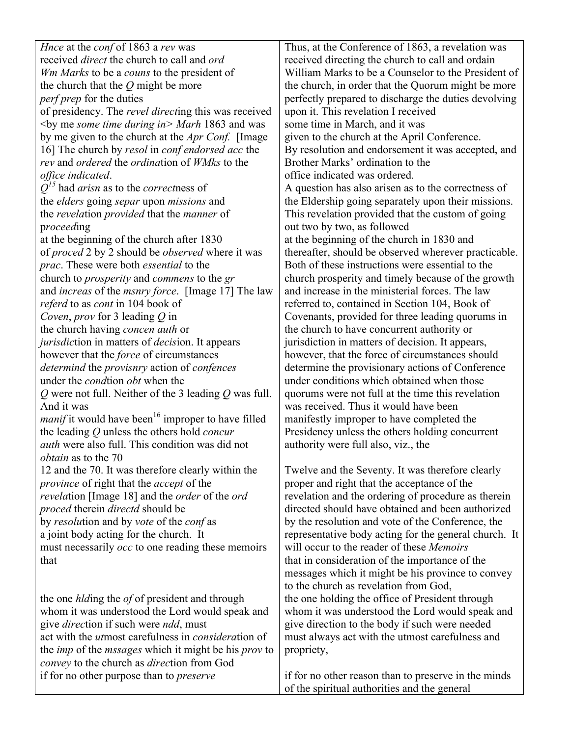*Hnce* at the *conf* of 1863 a *rev* was received *direct* the church to call and *ord Wm Marks* to be a *couns* to the president of the church that the *Q* might be more *perf prep* for the duties of presidency. The *revel direct*ing this was received <by me *some time during in> Marh* 1863 and was by me given to the church at the *Apr Conf.* [Image 16] The church by *resol* in *conf endorsed acc* the *rev* and *ordered* the *ordina*tion of *WMks* to the *office indicated*. *Q15* had *arisn* as to the *correct*ness of the *elders* going *separ* upon *missions* and the *revela*tion *provided* that the *manner* of p*roceed*ing at the beginning of the church after 1830 of *proced* 2 by 2 should be *observed* where it was *prac*. These were both *essential* to the church to *prosperity* and *commens* to the *gr* and *increas* of the *msnry force*. [Image 17] The law *referd* to as *cont* in 104 book of *Coven*, *prov* for 3 leading *Q* in the church having *concen auth* or *jurisdic*tion in matters of *decis*ion. It appears however that the *force* of circumstances *determind* the *provisnry* action of *confences* under the *cond*tion *obt* when the *Q* were not full. Neither of the 3 leading *Q* was full. And it was  $manif$  it would have been<sup>16</sup> improper to have filled the leading *Q* unless the others hold *concur auth* were also full. This condition was did not *obtain* as to the 70 12 and the 70. It was therefore clearly within the *province* of right that the *accept* of the *revela*tion [Image 18] and the *order* of the *ord proced* therein *directd* should be by *resolu*tion and by *vote* of the *conf* as a joint body acting for the church. It must necessarily *occ* to one reading these memoirs that the one *hld*ing the *of* of president and through

whom it was understood the Lord would speak and give *direc*tion if such were *ndd*, must act with the *ut*most carefulness in *considera*tion of the *imp* of the *mssages* which it might be his *prov* to *convey* to the church as *direc*tion from God if for no other purpose than to *preserve*

Thus, at the Conference of 1863, a revelation was received directing the church to call and ordain William Marks to be a Counselor to the President of the church, in order that the Quorum might be more perfectly prepared to discharge the duties devolving upon it. This revelation I received some time in March, and it was given to the church at the April Conference. By resolution and endorsement it was accepted, and Brother Marks' ordination to the office indicated was ordered. A question has also arisen as to the correctness of the Eldership going separately upon their missions. This revelation provided that the custom of going out two by two, as followed at the beginning of the church in 1830 and thereafter, should be observed wherever practicable. Both of these instructions were essential to the church prosperity and timely because of the growth and increase in the ministerial forces. The law referred to, contained in Section 104, Book of Covenants, provided for three leading quorums in the church to have concurrent authority or jurisdiction in matters of decision. It appears, however, that the force of circumstances should determine the provisionary actions of Conference under conditions which obtained when those quorums were not full at the time this revelation was received. Thus it would have been manifestly improper to have completed the Presidency unless the others holding concurrent authority were full also, viz., the

Twelve and the Seventy. It was therefore clearly proper and right that the acceptance of the revelation and the ordering of procedure as therein directed should have obtained and been authorized by the resolution and vote of the Conference, the representative body acting for the general church. It will occur to the reader of these *Memoirs* that in consideration of the importance of the messages which it might be his province to convey to the church as revelation from God, the one holding the office of President through whom it was understood the Lord would speak and give direction to the body if such were needed must always act with the utmost carefulness and propriety,

if for no other reason than to preserve in the minds of the spiritual authorities and the general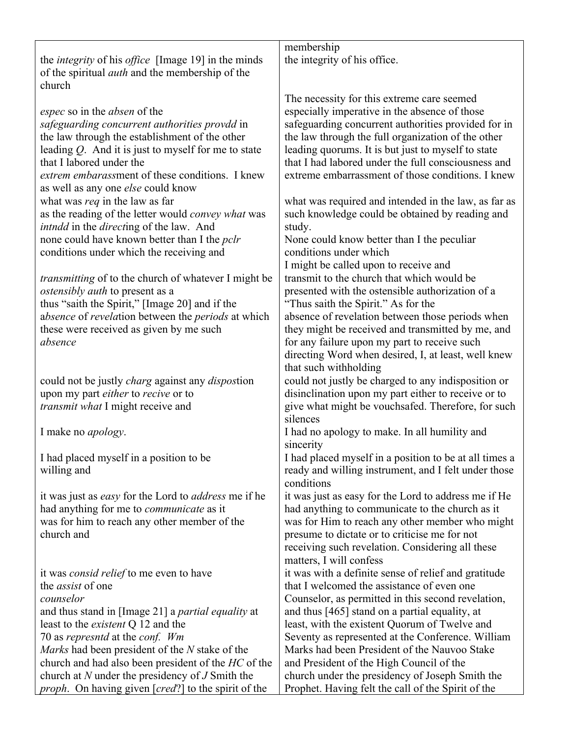|                                                                      | membership                                                     |
|----------------------------------------------------------------------|----------------------------------------------------------------|
| the <i>integrity</i> of his <i>office</i> [Image 19] in the minds    | the integrity of his office.                                   |
| of the spiritual <i>auth</i> and the membership of the               |                                                                |
| church                                                               |                                                                |
|                                                                      | The necessity for this extreme care seemed                     |
| <i>espec</i> so in the <i>absen</i> of the                           | especially imperative in the absence of those                  |
| safeguarding concurrent authorities provdd in                        | safeguarding concurrent authorities provided for in            |
| the law through the establishment of the other                       | the law through the full organization of the other             |
| leading $Q$ . And it is just to myself for me to state               | leading quorums. It is but just to myself to state             |
| that I labored under the                                             | that I had labored under the full consciousness and            |
| extrem embarassment of these conditions. I knew                      | extreme embarrassment of those conditions. I knew              |
| as well as any one <i>else</i> could know                            |                                                                |
| what was req in the law as far                                       | what was required and intended in the law, as far as           |
| as the reading of the letter would convey what was                   | such knowledge could be obtained by reading and                |
| <i>intndd</i> in the <i>directing</i> of the law. And                | study.                                                         |
| none could have known better than I the <i>pclr</i>                  | None could know better than I the peculiar                     |
| conditions under which the receiving and                             | conditions under which                                         |
|                                                                      | I might be called upon to receive and                          |
| <i>transmitting</i> of to the church of whatever I might be          | transmit to the church that which would be                     |
| <i>ostensibly auth to present as a</i>                               | presented with the ostensible authorization of a               |
| thus "saith the Spirit," [Image 20] and if the                       | "Thus saith the Spirit." As for the                            |
| absence of revelation between the periods at which                   |                                                                |
|                                                                      | absence of revelation between those periods when               |
| these were received as given by me such                              | they might be received and transmitted by me, and              |
| absence                                                              | for any failure upon my part to receive such                   |
|                                                                      | directing Word when desired, I, at least, well knew            |
|                                                                      | that such withholding                                          |
| could not be justly <i>charg</i> against any <i>dispostion</i>       | could not justly be charged to any indisposition or            |
| upon my part either to recive or to                                  | disinclination upon my part either to receive or to            |
| <i>transmit what</i> I might receive and                             | give what might be vouchsafed. Therefore, for such<br>silences |
| I make no <i>apology</i> .                                           | I had no apology to make. In all humility and                  |
|                                                                      | sincerity                                                      |
| I had placed myself in a position to be                              | I had placed myself in a position to be at all times a         |
| willing and                                                          | ready and willing instrument, and I felt under those           |
|                                                                      | conditions                                                     |
| it was just as <i>easy</i> for the Lord to <i>address</i> me if he   | it was just as easy for the Lord to address me if He           |
| had anything for me to communicate as it                             | had anything to communicate to the church as it                |
| was for him to reach any other member of the                         | was for Him to reach any other member who might                |
| church and                                                           | presume to dictate or to criticise me for not                  |
|                                                                      | receiving such revelation. Considering all these               |
|                                                                      | matters, I will confess                                        |
| it was <i>consid relief</i> to me even to have                       | it was with a definite sense of relief and gratitude           |
| the <i>assist</i> of one                                             | that I welcomed the assistance of even one                     |
| counselor                                                            | Counselor, as permitted in this second revelation,             |
| and thus stand in [Image 21] a <i>partial equality</i> at            | and thus [465] stand on a partial equality, at                 |
| least to the <i>existent</i> Q 12 and the                            | least, with the existent Quorum of Twelve and                  |
| 70 as represntd at the conf. Wm                                      | Seventy as represented at the Conference. William              |
| Marks had been president of the N stake of the                       | Marks had been President of the Nauvoo Stake                   |
| church and had also been president of the HC of the                  | and President of the High Council of the                       |
| church at $N$ under the presidency of $J$ Smith the                  | church under the presidency of Joseph Smith the                |
| <i>proph</i> . On having given [ <i>cred</i> ?] to the spirit of the | Prophet. Having felt the call of the Spirit of the             |
|                                                                      |                                                                |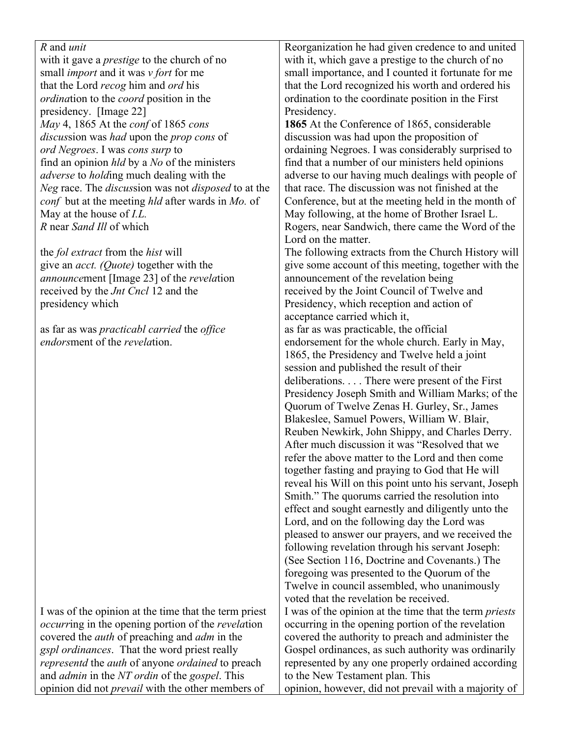| <i>R</i> and <i>unit</i>                                                |
|-------------------------------------------------------------------------|
| with it gave a <i>prestige</i> to the church of no                      |
| small <i>import</i> and it was <i>v</i> fort for me                     |
| that the Lord recog him and ord his                                     |
| <i>ordination</i> to the <i>coord</i> position in the                   |
| presidency. [Image 22]                                                  |
| May 4, 1865 At the conf of 1865 cons                                    |
| <i>discussion was had upon the prop cons of</i>                         |
| ord Negroes. I was cons surp to                                         |
| find an opinion <i>hld</i> by a <i>No</i> of the ministers              |
| <i>adverse</i> to <i>holding</i> much dealing with the                  |
| Neg race. The discussion was not disposed to at the                     |
| <i>conf</i> but at the meeting <i>hld</i> after wards in <i>Mo</i> . of |
| May at the house of <i>I.L.</i>                                         |
| R near Sand Ill of which                                                |
|                                                                         |

the *fol extract* from the *hist* will give an *acct. (Quote)* together with the *announce*ment [Image 23] of the *revela*tion received by the *Jnt Cncl* 12 and the presidency which

as far as was *practicabl carried* the *office endors*ment of the *revela*tion.

I was of the opinion at the time that the term priest *occurr*ing in the opening portion of the *revela*tion covered the *auth* of preaching and *adm* in the *gspl ordinances*. That the word priest really *representd* the *auth* of anyone *ordained* to preach and *admin* in the *NT ordin* of the *gospel*. This opinion did not *prevail* with the other members of

Reorganization he had given credence to and united with it, which gave a prestige to the church of no small importance, and I counted it fortunate for me that the Lord recognized his worth and ordered his ordination to the coordinate position in the First Presidency.

**1865** At the Conference of 1865, considerable discussion was had upon the proposition of ordaining Negroes. I was considerably surprised to find that a number of our ministers held opinions adverse to our having much dealings with people of that race. The discussion was not finished at the Conference, but at the meeting held in the month of May following, at the home of Brother Israel L. Rogers, near Sandwich, there came the Word of the Lord on the matter.

The following extracts from the Church History will give some account of this meeting, together with the announcement of the revelation being received by the Joint Council of Twelve and Presidency, which reception and action of acceptance carried which it, as far as was practicable, the official endorsement for the whole church. Early in May, 1865, the Presidency and Twelve held a joint session and published the result of their deliberations. . . . There were present of the First Presidency Joseph Smith and William Marks; of the Quorum of Twelve Zenas H. Gurley, Sr., James Blakeslee, Samuel Powers, William W. Blair, Reuben Newkirk, John Shippy, and Charles Derry. After much discussion it was "Resolved that we refer the above matter to the Lord and then come together fasting and praying to God that He will reveal his Will on this point unto his servant, Joseph Smith." The quorums carried the resolution into effect and sought earnestly and diligently unto the Lord, and on the following day the Lord was pleased to answer our prayers, and we received the following revelation through his servant Joseph: (See Section 116, Doctrine and Covenants.) The foregoing was presented to the Quorum of the Twelve in council assembled, who unanimously voted that the revelation be received. I was of the opinion at the time that the term *priests* occurring in the opening portion of the revelation covered the authority to preach and administer the Gospel ordinances, as such authority was ordinarily represented by any one properly ordained according to the New Testament plan. This opinion, however, did not prevail with a majority of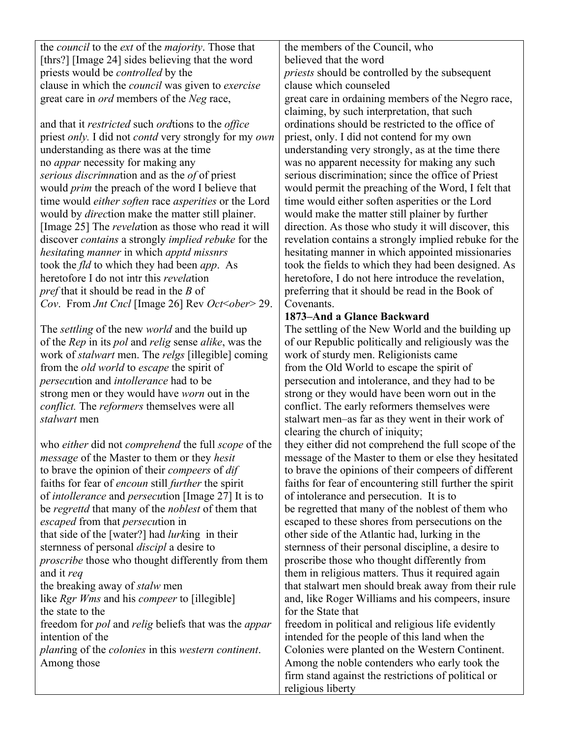| the <i>council</i> to the <i>ext</i> of the <i>majority</i> . Those that |  |
|--------------------------------------------------------------------------|--|
| [thrs?] [Image 24] sides believing that the word                         |  |
| priests would be <i>controlled</i> by the                                |  |
| clause in which the <i>council</i> was given to <i>exercise</i>          |  |
| great care in <i>ord</i> members of the <i>Neg</i> race,                 |  |

and that it *restricted* such *ord*tions to the *office*  priest *only.* I did not *contd* very strongly for my *own* understanding as there was at the time no *appar* necessity for making any *serious discrimna*tion and as the *of* of priest would *prim* the preach of the word I believe that time would *either soften* race *asperities* or the Lord would by *direc*tion make the matter still plainer. [Image 25] The *revela*tion as those who read it will discover *contains* a strongly *implied rebuke* for the *hesitat*ing *manner* in which *apptd missnrs* took the *fld* to which they had been *app*. As heretofore I do not intr this *revela*tion *pref* that it should be read in the *B* of *Cov*. From *Jnt Cncl* [Image 26] Rev *Oct*<*ober*> 29.

The *settling* of the new *world* and the build up of the *Rep* in its *pol* and *relig* sense *alike*, was the work of *stalwart* men. The *relgs* [illegible] coming from the *old world* to *escape* the spirit of *persecu*tion and *intollerance* had to be strong men or they would have *worn* out in the *conflict.* The *reformers* themselves were all *stalwart* men

who *either* did not *comprehend* the full *scope* of the *message* of the Master to them or they *hesit* to brave the opinion of their *compeers* of *dif* faiths for fear of *encoun* still *further* the spirit of *intollerance* and *persecu*tion [Image 27] It is to be *regrettd* that many of the *noblest* of them that *escaped* from that *persecu*tion in that side of the [water?] had *lurk*ing in their sternness of personal *discipl* a desire to *proscribe* those who thought differently from them and it *req* the breaking away of *stalw* men like *Rgr Wms* and his *compeer* to [illegible] the state to the freedom for *pol* and *relig* beliefs that was the *appar* intention of the *plant*ing of the *colonies* in this *western continent*. Among those

the members of the Council, who believed that the word *priests* should be controlled by the subsequent clause which counseled great care in ordaining members of the Negro race, claiming, by such interpretation, that such ordinations should be restricted to the office of priest, only. I did not contend for my own understanding very strongly, as at the time there was no apparent necessity for making any such serious discrimination; since the office of Priest would permit the preaching of the Word, I felt that time would either soften asperities or the Lord would make the matter still plainer by further direction. As those who study it will discover, this revelation contains a strongly implied rebuke for the hesitating manner in which appointed missionaries took the fields to which they had been designed. As heretofore, I do not here introduce the revelation, preferring that it should be read in the Book of **Covenants** 

### **1873–And a Glance Backward**

The settling of the New World and the building up of our Republic politically and religiously was the work of sturdy men. Religionists came from the Old World to escape the spirit of persecution and intolerance, and they had to be strong or they would have been worn out in the conflict. The early reformers themselves were stalwart men–as far as they went in their work of clearing the church of iniquity;

they either did not comprehend the full scope of the message of the Master to them or else they hesitated to brave the opinions of their compeers of different faiths for fear of encountering still further the spirit of intolerance and persecution. It is to be regretted that many of the noblest of them who escaped to these shores from persecutions on the other side of the Atlantic had, lurking in the sternness of their personal discipline, a desire to proscribe those who thought differently from them in religious matters. Thus it required again that stalwart men should break away from their rule and, like Roger Williams and his compeers, insure for the State that freedom in political and religious life evidently

intended for the people of this land when the Colonies were planted on the Western Continent. Among the noble contenders who early took the firm stand against the restrictions of political or religious liberty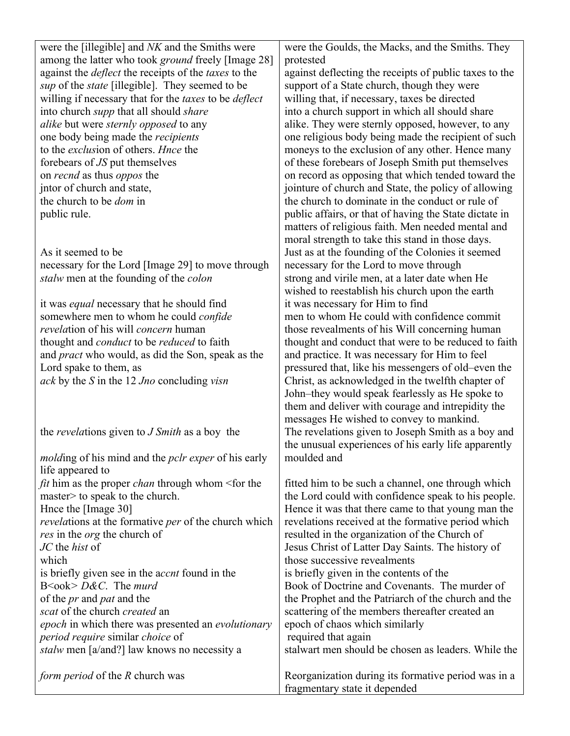| were the [illegible] and NK and the Smiths were                     | were the Goulds, the Macks, and the Smiths. They       |
|---------------------------------------------------------------------|--------------------------------------------------------|
| among the latter who took <i>ground</i> freely [Image 28]           | protested                                              |
| against the <i>deflect</i> the receipts of the <i>taxes</i> to the  | against deflecting the receipts of public taxes to the |
| <i>sup</i> of the <i>state</i> [illegible]. They seemed to be       | support of a State church, though they were            |
| willing if necessary that for the <i>taxes</i> to be <i>deflect</i> | willing that, if necessary, taxes be directed          |
| into church <i>supp</i> that all should <i>share</i>                | into a church support in which all should share        |
| <i>alike</i> but were <i>sternly opposed</i> to any                 | alike. They were sternly opposed, however, to any      |
| one body being made the <i>recipients</i>                           | one religious body being made the recipient of such    |
| to the <i>exclusion</i> of others. <i>Hnce</i> the                  | moneys to the exclusion of any other. Hence many       |
| forebears of JS put themselves                                      | of these forebears of Joseph Smith put themselves      |
| on <i>recnd</i> as thus <i>oppos</i> the                            | on record as opposing that which tended toward the     |
| jntor of church and state,                                          | jointure of church and State, the policy of allowing   |
| the church to be <i>dom</i> in                                      | the church to dominate in the conduct or rule of       |
| public rule.                                                        | public affairs, or that of having the State dictate in |
|                                                                     | matters of religious faith. Men needed mental and      |
|                                                                     | moral strength to take this stand in those days.       |
| As it seemed to be                                                  | Just as at the founding of the Colonies it seemed      |
| necessary for the Lord [Image 29] to move through                   | necessary for the Lord to move through                 |
| stalw men at the founding of the colon                              | strong and virile men, at a later date when He         |
|                                                                     | wished to reestablish his church upon the earth        |
| it was <i>equal</i> necessary that he should find                   | it was necessary for Him to find                       |
| somewhere men to whom he could <i>confide</i>                       | men to whom He could with confidence commit            |
| <i>revelation</i> of his will <i>concern</i> human                  | those revealments of his Will concerning human         |
| thought and <i>conduct</i> to be <i>reduced</i> to faith            | thought and conduct that were to be reduced to faith   |
| and <i>pract</i> who would, as did the Son, speak as the            | and practice. It was necessary for Him to feel         |
| Lord spake to them, as                                              | pressured that, like his messengers of old-even the    |
| ack by the S in the 12 Jno concluding visn                          | Christ, as acknowledged in the twelfth chapter of      |
|                                                                     | John-they would speak fearlessly as He spoke to        |
|                                                                     | them and deliver with courage and intrepidity the      |
|                                                                     | messages He wished to convey to mankind.               |
| the <i>revelations</i> given to <i>J Smith</i> as a boy the         | The revelations given to Joseph Smith as a boy and     |
|                                                                     | the unusual experiences of his early life apparently   |
| <i>molding</i> of his mind and the <i>pclr exper</i> of his early   | moulded and                                            |
| life appeared to                                                    |                                                        |
| <i>fit</i> him as the proper <i>chan</i> through whom < for the     | fitted him to be such a channel, one through which     |
| master> to speak to the church.                                     | the Lord could with confidence speak to his people.    |
| Hnce the [Image 30]                                                 | Hence it was that there came to that young man the     |
| <i>revelations</i> at the formative <i>per</i> of the church which  | revelations received at the formative period which     |
| res in the <i>org</i> the church of                                 | resulted in the organization of the Church of          |
| JC the hist of                                                      | Jesus Christ of Latter Day Saints. The history of      |
| which                                                               | those successive revealments                           |
| is briefly given see in the <i>accnt</i> found in the               | is briefly given in the contents of the                |
| $B \leq \text{ook} > D \& C$ . The murd                             | Book of Doctrine and Covenants. The murder of          |
| of the <i>pr</i> and <i>pat</i> and the                             | the Prophet and the Patriarch of the church and the    |
| scat of the church created an                                       | scattering of the members thereafter created an        |
| epoch in which there was presented an evolutionary                  | epoch of chaos which similarly                         |
| <i>period require similar choice of</i>                             | required that again                                    |
| <i>stalw</i> men [a/and?] law knows no necessity a                  | stalwart men should be chosen as leaders. While the    |
|                                                                     |                                                        |
| form period of the R church was                                     | Reorganization during its formative period was in a    |
|                                                                     | fragmentary state it depended                          |
|                                                                     |                                                        |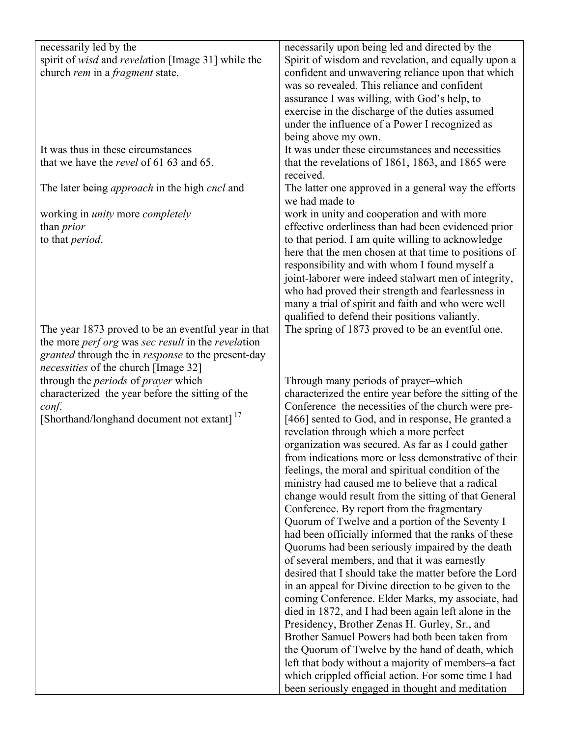| necessarily led by the                                           |                                                         |
|------------------------------------------------------------------|---------------------------------------------------------|
|                                                                  | necessarily upon being led and directed by the          |
| spirit of <i>wisd</i> and <i>revelation</i> [Image 31] while the | Spirit of wisdom and revelation, and equally upon a     |
| church rem in a fragment state.                                  | confident and unwavering reliance upon that which       |
|                                                                  | was so revealed. This reliance and confident            |
|                                                                  | assurance I was willing, with God's help, to            |
|                                                                  | exercise in the discharge of the duties assumed         |
|                                                                  | under the influence of a Power I recognized as          |
|                                                                  | being above my own.                                     |
| It was thus in these circumstances                               | It was under these circumstances and necessities        |
| that we have the <i>revel</i> of 61 63 and 65.                   | that the revelations of 1861, 1863, and 1865 were       |
|                                                                  | received.                                               |
| The later being <i>approach</i> in the high <i>cncl</i> and      | The latter one approved in a general way the efforts    |
|                                                                  | we had made to                                          |
|                                                                  |                                                         |
| working in <i>unity</i> more <i>completely</i>                   | work in unity and cooperation and with more             |
| than <i>prior</i>                                                | effective orderliness than had been evidenced prior     |
| to that period.                                                  | to that period. I am quite willing to acknowledge       |
|                                                                  | here that the men chosen at that time to positions of   |
|                                                                  | responsibility and with whom I found myself a           |
|                                                                  | joint-laborer were indeed stalwart men of integrity,    |
|                                                                  | who had proved their strength and fearlessness in       |
|                                                                  | many a trial of spirit and faith and who were well      |
|                                                                  | qualified to defend their positions valiantly.          |
| The year 1873 proved to be an eventful year in that              | The spring of 1873 proved to be an eventful one.        |
| the more <i>perf org</i> was sec result in the revelation        |                                                         |
| <i>granted</i> through the in <i>response</i> to the present-day |                                                         |
| <i>necessities</i> of the church [Image 32]                      |                                                         |
| through the <i>periods</i> of <i>prayer</i> which                | Through many periods of prayer-which                    |
|                                                                  |                                                         |
| characterized the year before the sitting of the                 | characterized the entire year before the sitting of the |
| conf.                                                            | Conference–the necessities of the church were pre-      |
| [Shorthand/longhand document not extant] <sup>17</sup>           | [466] sented to God, and in response, He granted a      |
|                                                                  | revelation through which a more perfect                 |
|                                                                  | organization was secured. As far as I could gather      |
|                                                                  | from indications more or less demonstrative of their    |
|                                                                  | feelings, the moral and spiritual condition of the      |
|                                                                  | ministry had caused me to believe that a radical        |
|                                                                  | change would result from the sitting of that General    |
|                                                                  | Conference. By report from the fragmentary              |
|                                                                  | Quorum of Twelve and a portion of the Seventy I         |
|                                                                  | had been officially informed that the ranks of these    |
|                                                                  | Quorums had been seriously impaired by the death        |
|                                                                  | of several members, and that it was earnestly           |
|                                                                  | desired that I should take the matter before the Lord   |
|                                                                  | in an appeal for Divine direction to be given to the    |
|                                                                  | coming Conference. Elder Marks, my associate, had       |
|                                                                  |                                                         |
|                                                                  | died in 1872, and I had been again left alone in the    |
|                                                                  | Presidency, Brother Zenas H. Gurley, Sr., and           |
|                                                                  | Brother Samuel Powers had both been taken from          |
|                                                                  | the Quorum of Twelve by the hand of death, which        |
|                                                                  | left that body without a majority of members–a fact     |
|                                                                  | which crippled official action. For some time I had     |
|                                                                  | been seriously engaged in thought and meditation        |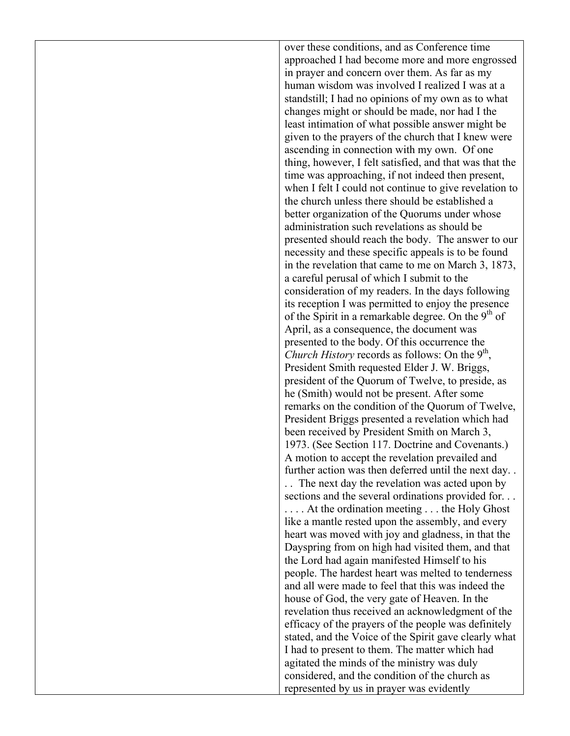over these conditions, and as Conference time approached I had become more and more engrossed in prayer and concern over them. As far as my human wisdom was involved I realized I was at a standstill; I had no opinions of my own as to what changes might or should be made, nor had I the least intimation of what possible answer might be given to the prayers of the church that I knew were ascending in connection with my own. Of one thing, however, I felt satisfied, and that was that the time was approaching, if not indeed then present, when I felt I could not continue to give revelation to the church unless there should be established a better organization of the Quorums under whose administration such revelations as should be presented should reach the body. The answer to our necessity and these specific appeals is to be found in the revelation that came to me on March 3, 1873, a careful perusal of which I submit to the consideration of my readers. In the days following its reception I was permitted to enjoy the presence of the Spirit in a remarkable degree. On the  $9<sup>th</sup>$  of April, as a consequence, the document was presented to the body. Of this occurrence the *Church History* records as follows: On the  $9<sup>th</sup>$ , President Smith requested Elder J. W. Briggs, president of the Quorum of Twelve, to preside, as he (Smith) would not be present. After some remarks on the condition of the Quorum of Twelve, President Briggs presented a revelation which had been received by President Smith on March 3, 1973. (See Section 117. Doctrine and Covenants.) A motion to accept the revelation prevailed and further action was then deferred until the next day. . . . The next day the revelation was acted upon by sections and the several ordinations provided for. . . . . . . At the ordination meeting . . . the Holy Ghost like a mantle rested upon the assembly, and every heart was moved with joy and gladness, in that the Dayspring from on high had visited them, and that the Lord had again manifested Himself to his people. The hardest heart was melted to tenderness and all were made to feel that this was indeed the house of God, the very gate of Heaven. In the revelation thus received an acknowledgment of the efficacy of the prayers of the people was definitely stated, and the Voice of the Spirit gave clearly what I had to present to them. The matter which had agitated the minds of the ministry was duly considered, and the condition of the church as represented by us in prayer was evidently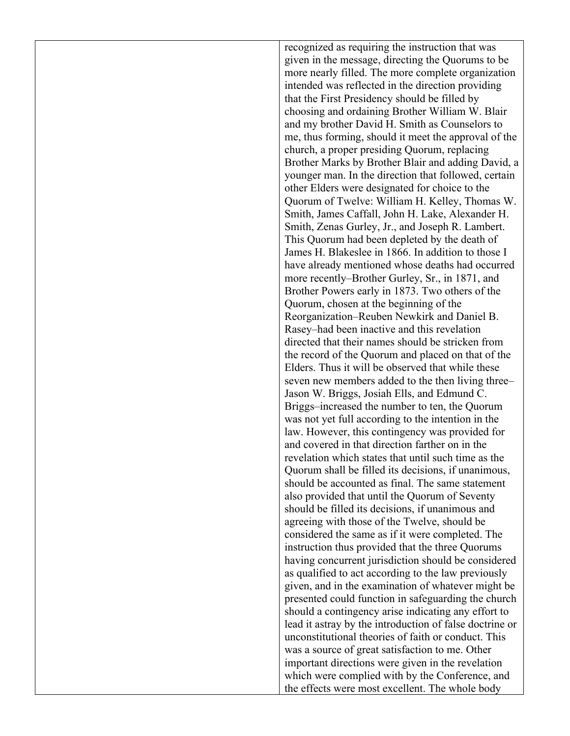recognized as requiring the instruction that was given in the message, directing the Quorums to be more nearly filled. The more complete organization intended was reflected in the direction providing that the First Presidency should be filled by choosing and ordaining Brother William W. Blair and my brother David H. Smith as Counselors to me, thus forming, should it meet the approval of the church, a proper presiding Quorum, replacing Brother Marks by Brother Blair and adding David, a younger man. In the direction that followed, certain other Elders were designated for choice to the Quorum of Twelve: William H. Kelley, Thomas W. Smith, James Caffall, John H. Lake, Alexander H. Smith, Zenas Gurley, Jr., and Joseph R. Lambert. This Quorum had been depleted by the death of James H. Blakeslee in 1866. In addition to those I have already mentioned whose deaths had occurred more recently–Brother Gurley, Sr., in 1871, and Brother Powers early in 1873. Two others of the Quorum, chosen at the beginning of the Reorganization–Reuben Newkirk and Daniel B. Rasey–had been inactive and this revelation directed that their names should be stricken from the record of the Quorum and placed on that of the Elders. Thus it will be observed that while these seven new members added to the then living three– Jason W. Briggs, Josiah Ells, and Edmund C. Briggs–increased the number to ten, the Quorum was not yet full according to the intention in the law. However, this contingency was provided for and covered in that direction farther on in the revelation which states that until such time as the Quorum shall be filled its decisions, if unanimous, should be accounted as final. The same statement also provided that until the Quorum of Seventy should be filled its decisions, if unanimous and agreeing with those of the Twelve, should be considered the same as if it were completed. The instruction thus provided that the three Quorums having concurrent jurisdiction should be considered as qualified to act according to the law previously given, and in the examination of whatever might be presented could function in safeguarding the church should a contingency arise indicating any effort to lead it astray by the introduction of false doctrine or unconstitutional theories of faith or conduct. This was a source of great satisfaction to me. Other important directions were given in the revelation which were complied with by the Conference, and the effects were most excellent. The whole body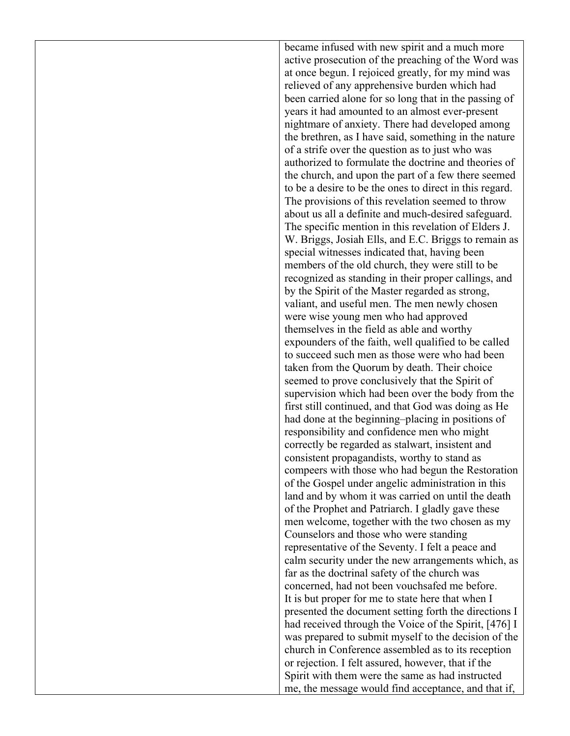became infused with new spirit and a much more active prosecution of the preaching of the Word was at once begun. I rejoiced greatly, for my mind was relieved of any apprehensive burden which had been carried alone for so long that in the passing of years it had amounted to an almost ever-present nightmare of anxiety. There had developed among the brethren, as I have said, something in the nature of a strife over the question as to just who was authorized to formulate the doctrine and theories of the church, and upon the part of a few there seemed to be a desire to be the ones to direct in this regard. The provisions of this revelation seemed to throw about us all a definite and much-desired safeguard. The specific mention in this revelation of Elders J. W. Briggs, Josiah Ells, and E.C. Briggs to remain as special witnesses indicated that, having been members of the old church, they were still to be recognized as standing in their proper callings, and by the Spirit of the Master regarded as strong, valiant, and useful men. The men newly chosen were wise young men who had approved themselves in the field as able and worthy expounders of the faith, well qualified to be called to succeed such men as those were who had been taken from the Quorum by death. Their choice seemed to prove conclusively that the Spirit of supervision which had been over the body from the first still continued, and that God was doing as He had done at the beginning–placing in positions of responsibility and confidence men who might correctly be regarded as stalwart, insistent and consistent propagandists, worthy to stand as compeers with those who had begun the Restoration of the Gospel under angelic administration in this land and by whom it was carried on until the death of the Prophet and Patriarch. I gladly gave these men welcome, together with the two chosen as my Counselors and those who were standing representative of the Seventy. I felt a peace and calm security under the new arrangements which, as far as the doctrinal safety of the church was concerned, had not been vouchsafed me before. It is but proper for me to state here that when I presented the document setting forth the directions I had received through the Voice of the Spirit, [476] I was prepared to submit myself to the decision of the church in Conference assembled as to its reception or rejection. I felt assured, however, that if the Spirit with them were the same as had instructed me, the message would find acceptance, and that if,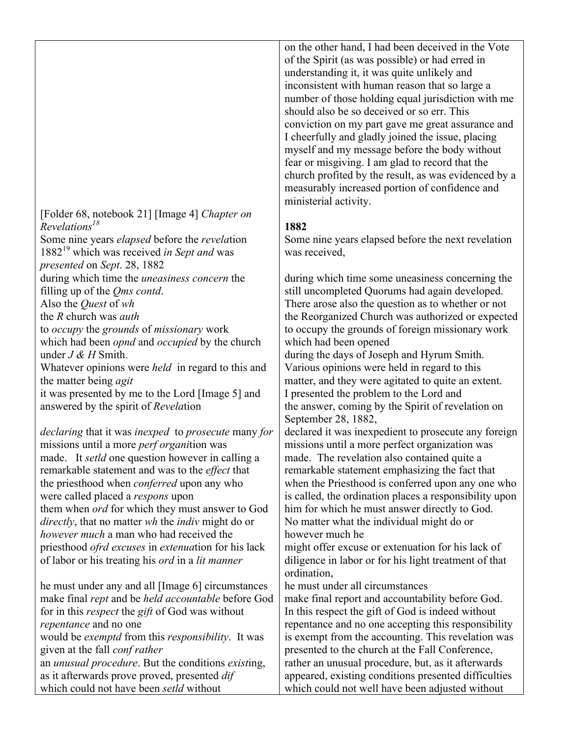[Folder 68, notebook 21] [Image 4] *Chapter on Revelations18*

Some nine years *elapsed* before the *revela*tion 188219 which was received *in Sept and* was *presented* on *Sept*. 28, 1882

during which time the *uneasiness concern* the filling up of the *Qms contd*.

Also the *Quest* of *wh*

the *R* church was *auth*

to *occupy* the *grounds* of *missionary* work which had been *opnd* and *occupied* by the church

under *J & H* Smith.

Whatever opinions were *held* in regard to this and the matter being *agit* 

it was presented by me to the Lord [Image 5] and answered by the spirit of *Revela*tion

*declaring* that it was *inexped* to *prosecute* many *for* missions until a more *perf organi*tion was made. It *setld* one question however in calling a remarkable statement and was to the *effect* that the priesthood when *conferred* upon any who were called placed a *respons* upon them when *ord* for which they must answer to God *directly*, that no matter *wh* the *indiv* might do or *however much* a man who had received the priesthood *ofrd excuses* in *extenua*tion for his lack of labor or his treating his *ord* in a *lit manner*

he must under any and all [Image 6] circumstances make final *rept* and be *held accountable* before God for in this *respect* the *gift* of God was without *repentance* and no one would be *exemptd* from this *responsibility*. It was given at the fall *conf rather* an *unusual procedure*. But the conditions *exist*ing, as it afterwards prove proved, presented *dif* which could not have been *setld* without

on the other hand, I had been deceived in the Vote of the Spirit (as was possible) or had erred in understanding it, it was quite unlikely and inconsistent with human reason that so large a number of those holding equal jurisdiction with me should also be so deceived or so err. This conviction on my part gave me great assurance and I cheerfully and gladly joined the issue, placing myself and my message before the body without fear or misgiving. I am glad to record that the church profited by the result, as was evidenced by a measurably increased portion of confidence and ministerial activity.

## **1882**

Some nine years elapsed before the next revelation was received,

during which time some uneasiness concerning the still uncompleted Quorums had again developed. There arose also the question as to whether or not the Reorganized Church was authorized or expected to occupy the grounds of foreign missionary work which had been opened during the days of Joseph and Hyrum Smith. Various opinions were held in regard to this

matter, and they were agitated to quite an extent. I presented the problem to the Lord and the answer, coming by the Spirit of revelation on September 28, 1882,

declared it was inexpedient to prosecute any foreign missions until a more perfect organization was made. The revelation also contained quite a remarkable statement emphasizing the fact that when the Priesthood is conferred upon any one who is called, the ordination places a responsibility upon him for which he must answer directly to God. No matter what the individual might do or however much he

might offer excuse or extenuation for his lack of diligence in labor or for his light treatment of that ordination,

he must under all circumstances

make final report and accountability before God. In this respect the gift of God is indeed without repentance and no one accepting this responsibility is exempt from the accounting. This revelation was presented to the church at the Fall Conference, rather an unusual procedure, but, as it afterwards appeared, existing conditions presented difficulties which could not well have been adjusted without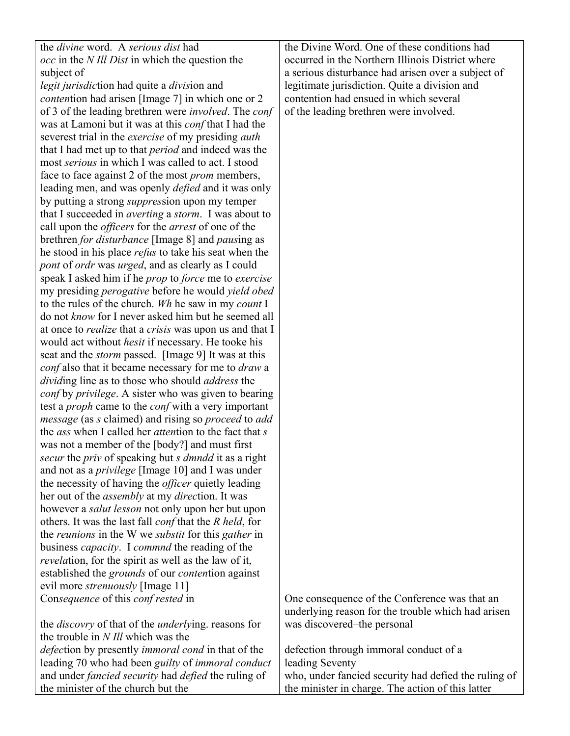| the <i>divine</i> word. A serious dist had                                  | the Divine Word. One of these conditions had       |
|-----------------------------------------------------------------------------|----------------------------------------------------|
| <i>occ</i> in the <i>N Ill Dist</i> in which the question the               | occurred in the Northern Illinois District where   |
| subject of                                                                  | a serious disturbance had arisen over a subject of |
| <i>legit jurisdiction had quite a division and</i>                          | legitimate jurisdiction. Quite a division and      |
| <i>contention</i> had arisen [Image 7] in which one or 2                    | contention had ensued in which several             |
| of 3 of the leading brethren were <i>involved</i> . The <i>conf</i>         | of the leading brethren were involved.             |
| was at Lamoni but it was at this <i>conf</i> that I had the                 |                                                    |
| severest trial in the <i>exercise</i> of my presiding <i>auth</i>           |                                                    |
| that I had met up to that <i>period</i> and indeed was the                  |                                                    |
| most <i>serious</i> in which I was called to act. I stood                   |                                                    |
| face to face against 2 of the most <i>prom</i> members,                     |                                                    |
| leading men, and was openly <i>defied</i> and it was only                   |                                                    |
|                                                                             |                                                    |
| by putting a strong <i>suppression</i> upon my temper                       |                                                    |
| that I succeeded in <i>averting</i> a <i>storm</i> . I was about to         |                                                    |
| call upon the <i>officers</i> for the <i>arrest</i> of one of the           |                                                    |
| brethren <i>for disturbance</i> [Image 8] and <i>pausing</i> as             |                                                    |
| he stood in his place <i>refus</i> to take his seat when the                |                                                    |
| <i>pont</i> of <i>ordr</i> was <i>urged</i> , and as clearly as I could     |                                                    |
| speak I asked him if he prop to force me to exercise                        |                                                    |
| my presiding <i>perogative</i> before he would <i>yield obed</i>            |                                                    |
| to the rules of the church. Wh he saw in my count I                         |                                                    |
| do not know for I never asked him but he seemed all                         |                                                    |
| at once to <i>realize</i> that a <i>crisis</i> was upon us and that I       |                                                    |
| would act without <i>hesit</i> if necessary. He tooke his                   |                                                    |
| seat and the <i>storm</i> passed. [Image 9] It was at this                  |                                                    |
| <i>conf</i> also that it became necessary for me to <i>draw</i> a           |                                                    |
| dividing line as to those who should address the                            |                                                    |
| conf by privilege. A sister who was given to bearing                        |                                                    |
| test a <i>proph</i> came to the <i>conf</i> with a very important           |                                                    |
| <i>message</i> (as s claimed) and rising so <i>proceed</i> to <i>add</i>    |                                                    |
| the <i>ass</i> when I called her <i>attention</i> to the fact that <i>s</i> |                                                    |
| was not a member of the [body?] and must first                              |                                                    |
| secur the priv of speaking but s dmndd it as a right                        |                                                    |
| and not as a <i>privilege</i> [Image 10] and I was under                    |                                                    |
| the necessity of having the <i>officer</i> quietly leading                  |                                                    |
| her out of the <i>assembly</i> at my <i>direction</i> . It was              |                                                    |
| however a <i>salut lesson</i> not only upon her but upon                    |                                                    |
| others. It was the last fall <i>conf</i> that the <i>R</i> held, for        |                                                    |
| the <i>reunions</i> in the W we <i>substit</i> for this <i>gather</i> in    |                                                    |
| business <i>capacity</i> . I <i>commnd</i> the reading of the               |                                                    |
| <i>revelation</i> , for the spirit as well as the law of it,                |                                                    |
| established the <i>grounds</i> of our <i>contention</i> against             |                                                    |
| evil more <i>strenuously</i> [Image 11]                                     |                                                    |
| Consequence of this conf rested in                                          | One consequence of the Conference was that an      |
|                                                                             | underlying reason for the trouble which had ariser |
| the <i>discovry</i> of that of the <i>underlying</i> . reasons for          | was discovered-the personal                        |
| the trouble in <i>N Ill</i> which was the                                   |                                                    |
| <i>defection</i> by presently <i>immoral cond</i> in that of the            | defection through immoral conduct of a             |
| leading 70 who had been guilty of immoral conduct                           | leading Seventy                                    |
| and under <i>fancied security</i> had <i>defied</i> the ruling of           | who, under fancied security had defied the ruling  |

the minister of the church but the

uct of a who, under fancied security had defied the ruling of the minister in charge. The action of this latter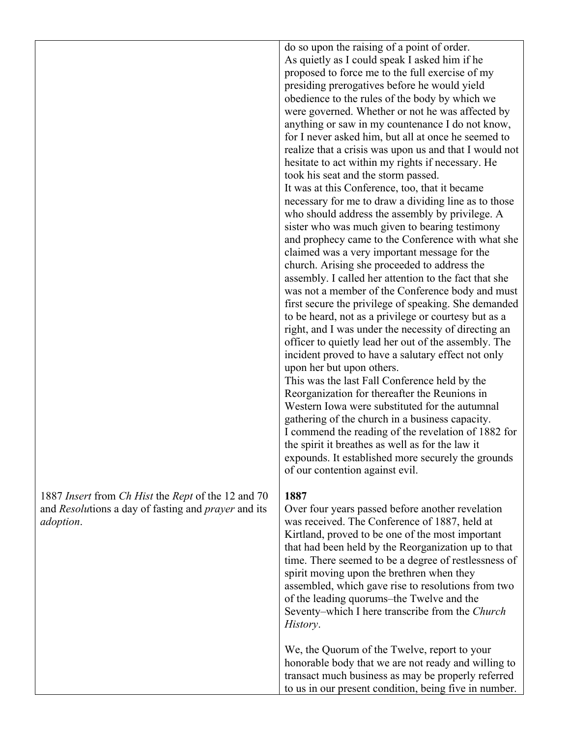1887 *Insert* from *Ch Hist* the *Rept* of the 12 and 70 and *Resolu*tions a day of fasting and *prayer* and its *adoption*.

do so upon the raising of a point of order. As quietly as I could speak I asked him if he proposed to force me to the full exercise of my presiding prerogatives before he would yield obedience to the rules of the body by which we were governed. Whether or not he was affected by anything or saw in my countenance I do not know, for I never asked him, but all at once he seemed to realize that a crisis was upon us and that I would not hesitate to act within my rights if necessary. He took his seat and the storm passed. It was at this Conference, too, that it became necessary for me to draw a dividing line as to those who should address the assembly by privilege. A sister who was much given to bearing testimony and prophecy came to the Conference with what she claimed was a very important message for the church. Arising she proceeded to address the assembly. I called her attention to the fact that she was not a member of the Conference body and must first secure the privilege of speaking. She demanded to be heard, not as a privilege or courtesy but as a right, and I was under the necessity of directing an officer to quietly lead her out of the assembly. The incident proved to have a salutary effect not only upon her but upon others. This was the last Fall Conference held by the Reorganization for thereafter the Reunions in

Western Iowa were substituted for the autumnal gathering of the church in a business capacity. I commend the reading of the revelation of 1882 for the spirit it breathes as well as for the law it expounds. It established more securely the grounds of our contention against evil.

#### **1887**

Over four years passed before another revelation was received. The Conference of 1887, held at Kirtland, proved to be one of the most important that had been held by the Reorganization up to that time. There seemed to be a degree of restlessness of spirit moving upon the brethren when they assembled, which gave rise to resolutions from two of the leading quorums–the Twelve and the Seventy–which I here transcribe from the *Church History*.

We, the Quorum of the Twelve, report to your honorable body that we are not ready and willing to transact much business as may be properly referred to us in our present condition, being five in number.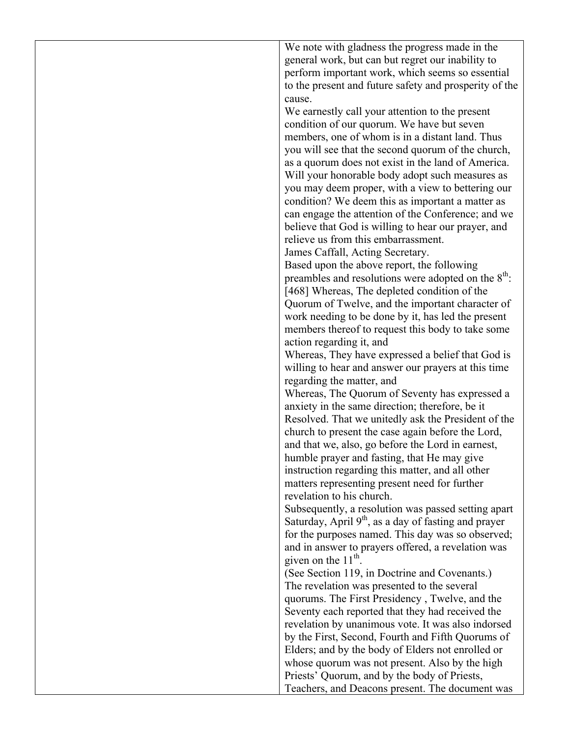We note with gladness the progress made in the general work, but can but regret our inability to perform important work, which seems so essential to the present and future safety and prosperity of the cause. We earnestly call your attention to the present

condition of our quorum. We have but seven members, one of whom is in a distant land. Thus you will see that the second quorum of the church, as a quorum does not exist in the land of America. Will your honorable body adopt such measures as you may deem proper, with a view to bettering our condition? We deem this as important a matter as can engage the attention of the Conference; and we believe that God is willing to hear our prayer, and relieve us from this embarrassment.

James Caffall, Acting Secretary.

Based upon the above report, the following preambles and resolutions were adopted on the  $8<sup>th</sup>$ : [468] Whereas, The depleted condition of the Quorum of Twelve, and the important character of work needing to be done by it, has led the present members thereof to request this body to take some action regarding it, and

Whereas, They have expressed a belief that God is willing to hear and answer our prayers at this time regarding the matter, and

Whereas, The Quorum of Seventy has expressed a anxiety in the same direction; therefore, be it Resolved. That we unitedly ask the President of the church to present the case again before the Lord, and that we, also, go before the Lord in earnest, humble prayer and fasting, that He may give instruction regarding this matter, and all other matters representing present need for further revelation to his church.

Subsequently, a resolution was passed setting apart Saturday, April  $9<sup>th</sup>$ , as a day of fasting and prayer for the purposes named. This day was so observed; and in answer to prayers offered, a revelation was given on the  $11<sup>th</sup>$ .

(See Section 119, in Doctrine and Covenants.) The revelation was presented to the several quorums. The First Presidency , Twelve, and the Seventy each reported that they had received the revelation by unanimous vote. It was also indorsed by the First, Second, Fourth and Fifth Quorums of Elders; and by the body of Elders not enrolled or whose quorum was not present. Also by the high Priests' Quorum, and by the body of Priests, Teachers, and Deacons present. The document was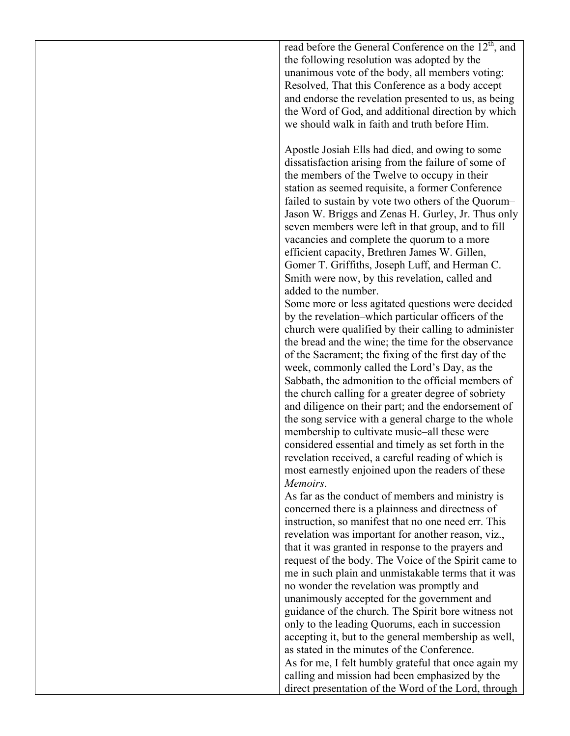read before the General Conference on the  $12<sup>th</sup>$ , and the following resolution was adopted by the unanimous vote of the body, all members voting: Resolved, That this Conference as a body accept and endorse the revelation presented to us, as being the Word of God, and additional direction by which we should walk in faith and truth before Him.

Apostle Josiah Ells had died, and owing to some dissatisfaction arising from the failure of some of the members of the Twelve to occupy in their station as seemed requisite, a former Conference failed to sustain by vote two others of the Quorum– Jason W. Briggs and Zenas H. Gurley, Jr. Thus only seven members were left in that group, and to fill vacancies and complete the quorum to a more efficient capacity, Brethren James W. Gillen, Gomer T. Griffiths, Joseph Luff, and Herman C. Smith were now, by this revelation, called and added to the number.

Some more or less agitated questions were decided by the revelation–which particular officers of the church were qualified by their calling to administer the bread and the wine; the time for the observance of the Sacrament; the fixing of the first day of the week, commonly called the Lord's Day, as the Sabbath, the admonition to the official members of the church calling for a greater degree of sobriety and diligence on their part; and the endorsement of the song service with a general charge to the whole membership to cultivate music–all these were considered essential and timely as set forth in the revelation received, a careful reading of which is most earnestly enjoined upon the readers of these *Memoirs*.

As far as the conduct of members and ministry is concerned there is a plainness and directness of instruction, so manifest that no one need err. This revelation was important for another reason, viz., that it was granted in response to the prayers and request of the body. The Voice of the Spirit came to me in such plain and unmistakable terms that it was no wonder the revelation was promptly and unanimously accepted for the government and guidance of the church. The Spirit bore witness not only to the leading Quorums, each in succession accepting it, but to the general membership as well, as stated in the minutes of the Conference. As for me, I felt humbly grateful that once again my calling and mission had been emphasized by the direct presentation of the Word of the Lord, through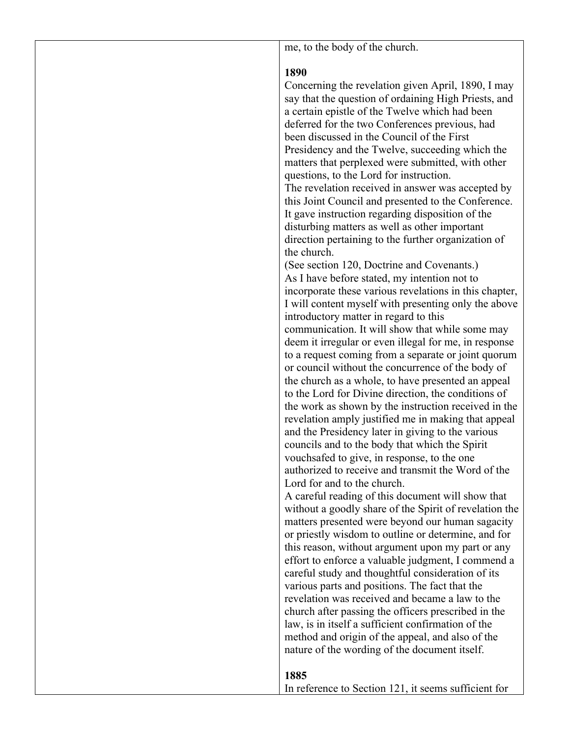me, to the body of the church.

#### **1890**

Concerning the revelation given April, 1890, I may say that the question of ordaining High Priests, and a certain epistle of the Twelve which had been deferred for the two Conferences previous, had been discussed in the Council of the First Presidency and the Twelve, succeeding which the matters that perplexed were submitted, with other questions, to the Lord for instruction. The revelation received in answer was accepted by

this Joint Council and presented to the Conference. It gave instruction regarding disposition of the disturbing matters as well as other important direction pertaining to the further organization of the church.

(See section 120, Doctrine and Covenants.) As I have before stated, my intention not to incorporate these various revelations in this chapter, I will content myself with presenting only the above introductory matter in regard to this communication. It will show that while some may deem it irregular or even illegal for me, in response to a request coming from a separate or joint quorum or council without the concurrence of the body of the church as a whole, to have presented an appeal to the Lord for Divine direction, the conditions of the work as shown by the instruction received in the revelation amply justified me in making that appeal and the Presidency later in giving to the various councils and to the body that which the Spirit vouchsafed to give, in response, to the one authorized to receive and transmit the Word of the Lord for and to the church.

A careful reading of this document will show that without a goodly share of the Spirit of revelation the matters presented were beyond our human sagacity or priestly wisdom to outline or determine, and for this reason, without argument upon my part or any effort to enforce a valuable judgment, I commend a careful study and thoughtful consideration of its various parts and positions. The fact that the revelation was received and became a law to the church after passing the officers prescribed in the law, is in itself a sufficient confirmation of the method and origin of the appeal, and also of the nature of the wording of the document itself.

### **1885**

In reference to Section 121, it seems sufficient for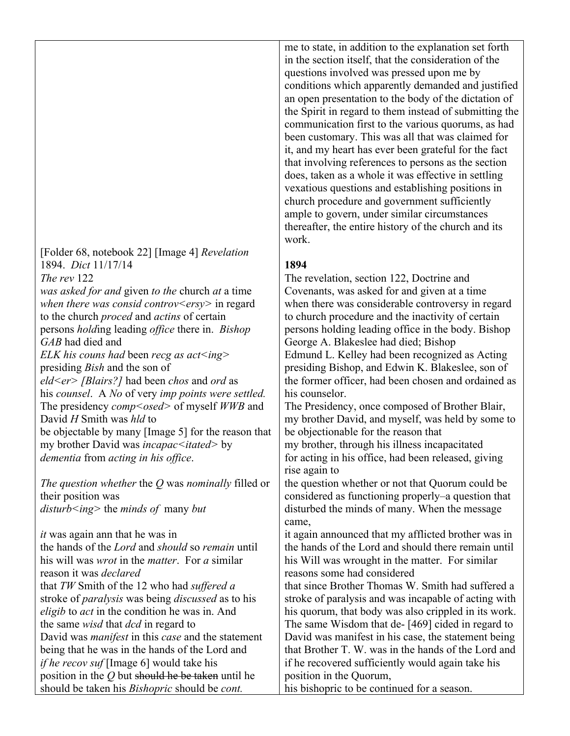[Folder 68, notebook 22] [Image 4] *Revelation* 1894. *Dict* 11/17/14 *The rev* 122 *was asked for and* given *to the* church *at* a time *when there was consid controv<ersy>* in regard to the church *proced* and *actins* of certain persons *hold*ing leading *office* there in. *Bishop GAB* had died and *ELK his couns had* been *recg as act<ing>*  presiding *Bish* and the son of *eld<er> [Blairs?]* had been *chos* and *ord* as his *counsel*. A *No* of very *imp points were settled.* The presidency *comp<osed>* of myself *WWB* and David *H* Smith was *hld* to be objectable by many [Image 5] for the reason that my brother David was *incapac<itated>* by *dementia* from *acting in his office*.

*The question whether* the *Q* was *nominally* filled or their position was *disturb<ing>* the *minds of* many *but* 

*it* was again ann that he was in the hands of the *Lord* and *should* so *remain* until his will was *wrot* in the *matter*. For *a* similar reason it was *declared* that *TW* Smith of the 12 who had *suffered a* stroke of *paralysis* was being *discussed* as to his *eligib* to *act* in the condition he was in. And the same *wisd* that *dcd* in regard to David was *manifest* in this *case* and the statement being that he was in the hands of the Lord and *if he recov suf* [Image 6] would take his position in the *Q* but should he be taken until he should be taken his *Bishopric* should be *cont.* 

me to state, in addition to the explanation set forth in the section itself, that the consideration of the questions involved was pressed upon me by conditions which apparently demanded and justified an open presentation to the body of the dictation of the Spirit in regard to them instead of submitting the communication first to the various quorums, as had been customary. This was all that was claimed for it, and my heart has ever been grateful for the fact that involving references to persons as the section does, taken as a whole it was effective in settling vexatious questions and establishing positions in church procedure and government sufficiently ample to govern, under similar circumstances thereafter, the entire history of the church and its work.

#### **1894**

The revelation, section 122, Doctrine and Covenants, was asked for and given at a time when there was considerable controversy in regard to church procedure and the inactivity of certain persons holding leading office in the body. Bishop George A. Blakeslee had died; Bishop Edmund L. Kelley had been recognized as Acting presiding Bishop, and Edwin K. Blakeslee, son of the former officer, had been chosen and ordained as his counselor.

The Presidency, once composed of Brother Blair, my brother David, and myself, was held by some to be objectionable for the reason that my brother, through his illness incapacitated for acting in his office, had been released, giving rise again to

the question whether or not that Quorum could be considered as functioning properly–a question that disturbed the minds of many. When the message came,

it again announced that my afflicted brother was in the hands of the Lord and should there remain until his Will was wrought in the matter. For similar reasons some had considered

that since Brother Thomas W. Smith had suffered a stroke of paralysis and was incapable of acting with his quorum, that body was also crippled in its work. The same Wisdom that de- [469] cided in regard to David was manifest in his case, the statement being that Brother T. W. was in the hands of the Lord and if he recovered sufficiently would again take his position in the Quorum,

his bishopric to be continued for a season.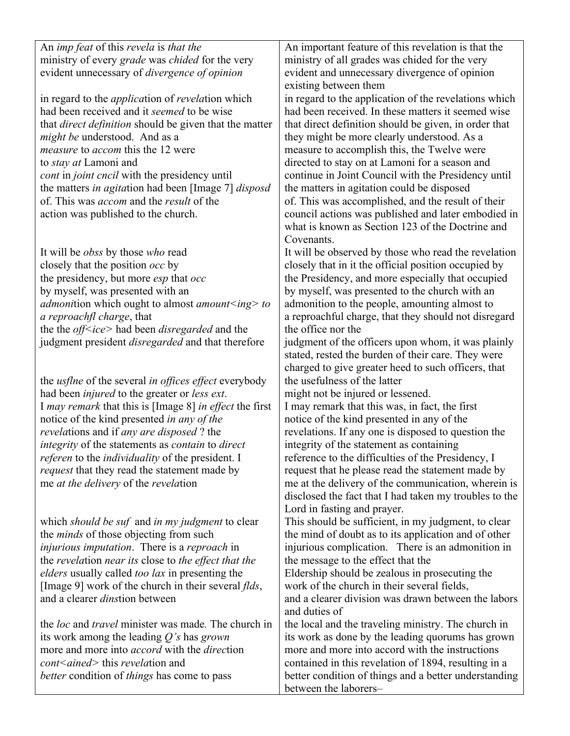| An <i>imp feat</i> of this <i>revela</i> is <i>that the</i><br>ministry of every grade was chided for the very<br>evident unnecessary of <i>divergence of opinion</i><br>in regard to the <i>application</i> of <i>revelation</i> which<br>had been received and it seemed to be wise<br>that <i>direct definition</i> should be given that the matter<br><i>might be</i> understood. And as a<br><i>measure</i> to <i>accom</i> this the 12 were<br>to <i>stay at</i> Lamoni and<br><i>cont</i> in <i>joint cncil</i> with the presidency until<br>the matters in agitation had been [Image 7] disposd<br>of. This was <i>accom</i> and the <i>result</i> of the<br>action was published to the church. | An important feature of this revelation is that the<br>ministry of all grades was chided for the very<br>evident and unnecessary divergence of opinion<br>existing between them<br>in regard to the application of the revelations which<br>had been received. In these matters it seemed wise<br>that direct definition should be given, in order that<br>they might be more clearly understood. As a<br>measure to accomplish this, the Twelve were<br>directed to stay on at Lamoni for a season and<br>continue in Joint Council with the Presidency until<br>the matters in agitation could be disposed<br>of. This was accomplished, and the result of their<br>council actions was published and later embodied in<br>what is known as Section 123 of the Doctrine and |
|----------------------------------------------------------------------------------------------------------------------------------------------------------------------------------------------------------------------------------------------------------------------------------------------------------------------------------------------------------------------------------------------------------------------------------------------------------------------------------------------------------------------------------------------------------------------------------------------------------------------------------------------------------------------------------------------------------|-------------------------------------------------------------------------------------------------------------------------------------------------------------------------------------------------------------------------------------------------------------------------------------------------------------------------------------------------------------------------------------------------------------------------------------------------------------------------------------------------------------------------------------------------------------------------------------------------------------------------------------------------------------------------------------------------------------------------------------------------------------------------------|
| It will be <i>obss</i> by those <i>who</i> read<br>closely that the position <i>occ</i> by<br>the presidency, but more <i>esp</i> that <i>occ</i><br>by myself, was presented with an<br><i>admonition</i> which ought to almost <i>amount</i> $\leq$ ing $>$ to<br>a reproachfl charge, that<br>the the <i>off<ice></ice></i> had been <i>disregarded</i> and the<br>judgment president <i>disregarded</i> and that therefore                                                                                                                                                                                                                                                                           | Covenants.<br>It will be observed by those who read the revelation<br>closely that in it the official position occupied by<br>the Presidency, and more especially that occupied<br>by myself, was presented to the church with an<br>admonition to the people, amounting almost to<br>a reproachful charge, that they should not disregard<br>the office nor the<br>judgment of the officers upon whom, it was plainly<br>stated, rested the burden of their care. They were<br>charged to give greater heed to such officers, that                                                                                                                                                                                                                                           |
| the <i>usflne</i> of the several <i>in offices effect</i> everybody<br>had been <i>injured</i> to the greater or <i>less ext</i> .<br>I <i>may remark</i> that this is [Image 8] <i>in effect</i> the first<br>notice of the kind presented in any of the<br><i>revelations</i> and if <i>any are disposed</i> ? the<br>integrity of the statements as contain to direct<br>referen to the <i>individuality</i> of the president. I<br><i>request</i> that they read the statement made by<br>me at the delivery of the revelation                                                                                                                                                                       | the usefulness of the latter<br>might not be injured or lessened.<br>I may remark that this was, in fact, the first<br>notice of the kind presented in any of the<br>revelations. If any one is disposed to question the<br>integrity of the statement as containing<br>reference to the difficulties of the Presidency, I<br>request that he please read the statement made by<br>me at the delivery of the communication, wherein is<br>disclosed the fact that I had taken my troubles to the                                                                                                                                                                                                                                                                              |
| which should be suf and in my judgment to clear<br>the <i>minds</i> of those objecting from such<br><i>injurious imputation</i> . There is a <i>reproach</i> in<br>the revelation near its close to the effect that the<br><i>elders</i> usually called <i>too lax</i> in presenting the<br>[Image 9] work of the church in their several <i>flds</i> ,<br>and a clearer <i>dinstion</i> between<br>the <i>loc</i> and <i>travel</i> minister was made. The church in                                                                                                                                                                                                                                    | Lord in fasting and prayer.<br>This should be sufficient, in my judgment, to clear<br>the mind of doubt as to its application and of other<br>injurious complication. There is an admonition in<br>the message to the effect that the<br>Eldership should be zealous in prosecuting the<br>work of the church in their several fields,<br>and a clearer division was drawn between the labors<br>and duties of<br>the local and the traveling ministry. The church in                                                                                                                                                                                                                                                                                                         |
| its work among the leading $Q$ 's has grown<br>more and more into <i>accord</i> with the <i>direction</i><br><i>cont<ained></ained></i> this <i>revelation</i> and<br><i>better</i> condition of <i>things</i> has come to pass                                                                                                                                                                                                                                                                                                                                                                                                                                                                          | its work as done by the leading quorums has grown<br>more and more into accord with the instructions<br>contained in this revelation of 1894, resulting in a<br>better condition of things and a better understanding<br>between the laborers-                                                                                                                                                                                                                                                                                                                                                                                                                                                                                                                                |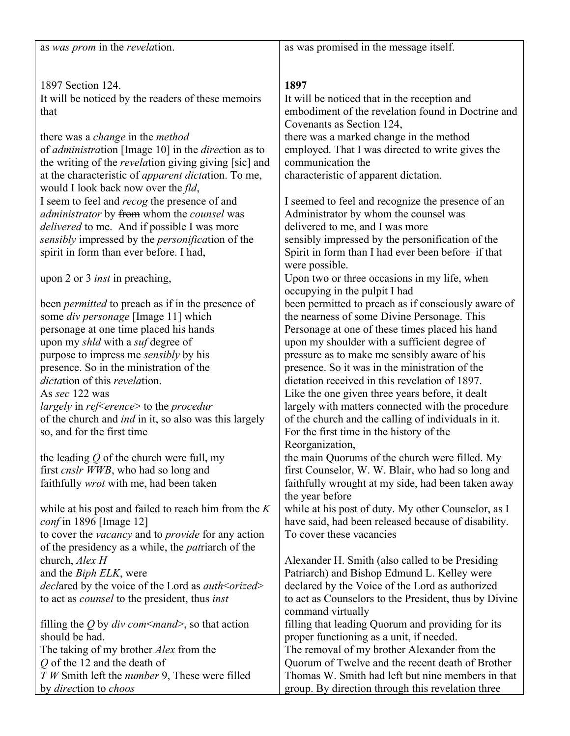as *was prom* in the *revela*tion.

as was promised in the message itself.

1897 Section 124. It will be noticed by the readers of these memoirs that

there was a *change* in the *method* of *administra*tion [Image 10] in the *direc*tion as to the writing of the *revela*tion giving giving [sic] and at the characteristic of *apparent dicta*tion. To me, would I look back now over the *fld*, I seem to feel and *recog* the presence of and *administrator* by from whom the *counsel* was *delivered* to me. And if possible I was more *sensibly* impressed by the *personifica*tion of the spirit in form than ever before. I had,

upon 2 or 3 *inst* in preaching,

been *permitted* to preach as if in the presence of some *div personage* [Image 11] which personage at one time placed his hands upon my *shld* with a *suf* degree of purpose to impress me *sensibly* by his presence. So in the ministration of the *dicta*tion of this *revela*tion. As *sec* 122 was *largely* in *ref*<*erence*> to the *procedur* of the church and *ind* in it, so also was this largely so, and for the first time

the leading *Q* of the church were full, my first *cnslr WWB*, who had so long and faithfully *wrot* with me, had been taken

while at his post and failed to reach him from the *K conf* in 1896 [Image 12] to cover the *vacancy* and to *provide* for any action of the presidency as a while, the *pat*riarch of the church, *Alex H* and the *Biph ELK*, were *decl*ared by the voice of the Lord as *auth*<*orized*> to act as *counsel* to the president, thus *inst*

filling the *Q* by *div com*<*mand*>, so that action should be had. The taking of my brother *Alex* from the *Q* of the 12 and the death of *T W* Smith left the *number* 9, These were filled by *direc*tion to *choos*

## **1897**

It will be noticed that in the reception and embodiment of the revelation found in Doctrine and Covenants as Section 124, there was a marked change in the method employed. That I was directed to write gives the communication the characteristic of apparent dictation.

I seemed to feel and recognize the presence of an Administrator by whom the counsel was delivered to me, and I was more sensibly impressed by the personification of the Spirit in form than I had ever been before–if that were possible.

Upon two or three occasions in my life, when occupying in the pulpit I had been permitted to preach as if consciously aware of the nearness of some Divine Personage. This Personage at one of these times placed his hand upon my shoulder with a sufficient degree of pressure as to make me sensibly aware of his presence. So it was in the ministration of the dictation received in this revelation of 1897. Like the one given three years before, it dealt largely with matters connected with the procedure of the church and the calling of individuals in it. For the first time in the history of the Reorganization,

the main Quorums of the church were filled. My first Counselor, W. W. Blair, who had so long and faithfully wrought at my side, had been taken away the year before

while at his post of duty. My other Counselor, as I have said, had been released because of disability. To cover these vacancies

Alexander H. Smith (also called to be Presiding Patriarch) and Bishop Edmund L. Kelley were declared by the Voice of the Lord as authorized to act as Counselors to the President, thus by Divine command virtually filling that leading Quorum and providing for its proper functioning as a unit, if needed. The removal of my brother Alexander from the Quorum of Twelve and the recent death of Brother Thomas W. Smith had left but nine members in that

group. By direction through this revelation three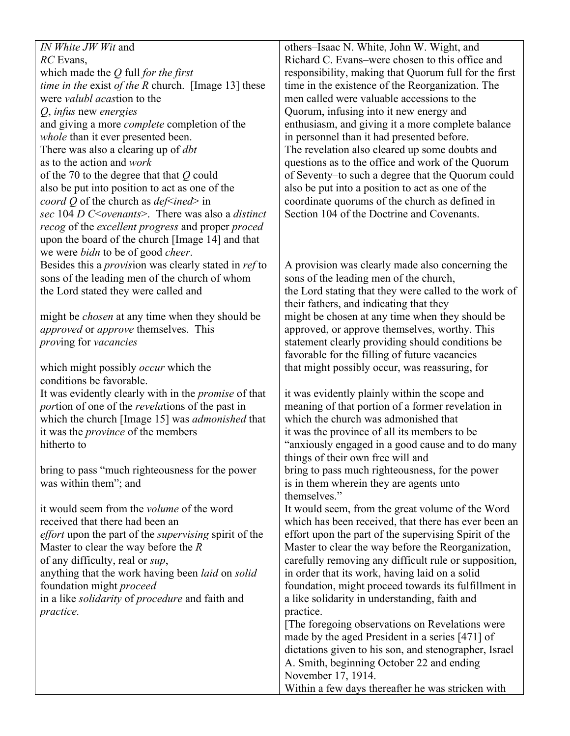*IN White JW Wit* and *RC* Evans, which made the *Q* full *for the first time in the* exist *of the R* church. [Image 13] these were *valubl acas*tion to the *Q*, *infus* new *energies* and giving a more *complete* completion of the *whole* than it ever presented been. There was also a clearing up of *dbt* as to the action and *work* of the 70 to the degree that that *Q* could also be put into position to act as one of the *coord Q* of the church as *def*<*ined*> in *sec* 104 *D C*<*ovenants*>. There was also a *distinct recog* of the *excellent progress* and proper *proced* upon the board of the church [Image 14] and that we were *bidn* to be of good *cheer*. Besides this a *provis*ion was clearly stated in *ref* to sons of the leading men of the church of whom the Lord stated they were called and might be *chosen* at any time when they should be *approved* or *approve* themselves. This *prov*ing for *vacancies* which might possibly *occur* which the conditions be favorable. It was evidently clearly with in the *promise* of that *por*tion of one of the *revela*tions of the past in which the church [Image 15] was *admonished* that it was the *province* of the members hitherto to bring to pass "much righteousness for the power was within them"; and it would seem from the *volume* of the word received that there had been an *effort* upon the part of the *supervising* spirit of the Master to clear the way before the *R* of any difficulty, real or *sup*, anything that the work having been *laid* on *solid* foundation might *proceed* in a like *solidarity* of *procedure* and faith and *practice.* themselves." practice.

others–Isaac N. White, John W. Wight, and Richard C. Evans–were chosen to this office and responsibility, making that Quorum full for the first time in the existence of the Reorganization. The men called were valuable accessions to the Quorum, infusing into it new energy and enthusiasm, and giving it a more complete balance in personnel than it had presented before. The revelation also cleared up some doubts and questions as to the office and work of the Quorum of Seventy–to such a degree that the Quorum could also be put into a position to act as one of the coordinate quorums of the church as defined in Section 104 of the Doctrine and Covenants.

A provision was clearly made also concerning the sons of the leading men of the church, the Lord stating that they were called to the work of their fathers, and indicating that they might be chosen at any time when they should be approved, or approve themselves, worthy. This statement clearly providing should conditions be favorable for the filling of future vacancies that might possibly occur, was reassuring, for

it was evidently plainly within the scope and meaning of that portion of a former revelation in which the church was admonished that it was the province of all its members to be "anxiously engaged in a good cause and to do many things of their own free will and bring to pass much righteousness, for the power is in them wherein they are agents unto

It would seem, from the great volume of the Word which has been received, that there has ever been an effort upon the part of the supervising Spirit of the Master to clear the way before the Reorganization, carefully removing any difficult rule or supposition, in order that its work, having laid on a solid foundation, might proceed towards its fulfillment in a like solidarity in understanding, faith and

[The foregoing observations on Revelations were made by the aged President in a series [471] of dictations given to his son, and stenographer, Israel A. Smith, beginning October 22 and ending November 17, 1914. Within a few days thereafter he was stricken with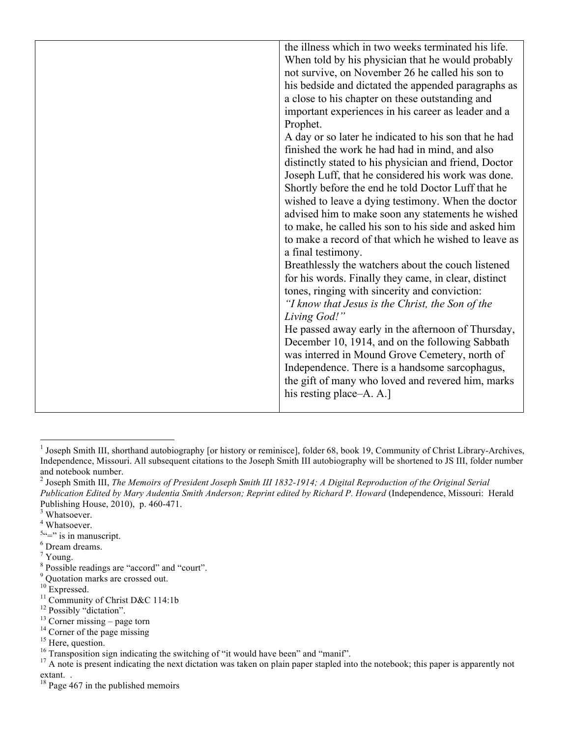| the illness which in two weeks terminated his life.   |
|-------------------------------------------------------|
| When told by his physician that he would probably     |
| not survive, on November 26 he called his son to      |
| his bedside and dictated the appended paragraphs as   |
| a close to his chapter on these outstanding and       |
| important experiences in his career as leader and a   |
| Prophet.                                              |
| A day or so later he indicated to his son that he had |
| finished the work he had had in mind, and also        |
| distinctly stated to his physician and friend, Doctor |
| Joseph Luff, that he considered his work was done.    |
| Shortly before the end he told Doctor Luff that he    |
| wished to leave a dying testimony. When the doctor    |
| advised him to make soon any statements he wished     |
| to make, he called his son to his side and asked him  |
| to make a record of that which he wished to leave as  |
| a final testimony.                                    |
| Breathlessly the watchers about the couch listened    |
| for his words. Finally they came, in clear, distinct  |
| tones, ringing with sincerity and conviction:         |
| "I know that Jesus is the Christ, the Son of the      |
| Living God!"                                          |
| He passed away early in the afternoon of Thursday,    |
| December 10, 1914, and on the following Sabbath       |
| was interred in Mound Grove Cemetery, north of        |
| Independence. There is a handsome sarcophagus,        |
| the gift of many who loved and revered him, marks     |
| his resting place–A. A.]                              |
|                                                       |

<sup>&</sup>lt;sup>1</sup> Joseph Smith III, shorthand autobiography [or history or reminisce], folder 68, book 19, Community of Christ Library-Archives, Independence, Missouri. All subsequent citations to the Joseph Smith III autobiography will be shortened to JS III, folder number and notebook number.<br><sup>2</sup> Joseph Smith III, *The Memoirs of President Joseph Smith III 1832-1914; A Digital Reproduction of the Original Serial* 

*Publication Edited by Mary Audentia Smith Anderson; Reprint edited by Richard P. Howard* (Independence, Missouri: Herald Publishing House, 2010), p. 460-471. 3

<sup>&</sup>lt;sup>3</sup> Whatsoever.

<sup>4</sup> Whatsoever.

 $5^{\circ}$ =" is in manuscript.

<sup>6</sup> Dream dreams.

<sup>7</sup> Young.

<sup>&</sup>lt;sup>8</sup> Possible readings are "accord" and "court".

<sup>&</sup>lt;sup>9</sup> Quotation marks are crossed out.

<sup>&</sup>lt;sup>10</sup> Expressed.

<sup>&</sup>lt;sup>11</sup> Community of Christ D&C 114:1b

<sup>&</sup>lt;sup>12</sup> Possibly "dictation".

<sup>&</sup>lt;sup>13</sup> Corner missing – page torn <sup>14</sup> Corner of the page missing

<sup>&</sup>lt;sup>15</sup> Here, question.

<sup>&</sup>lt;sup>16</sup> Transposition sign indicating the switching of "it would have been" and "manif".

 $17$  A note is present indicating the next dictation was taken on plain paper stapled into the notebook; this paper is apparently not extant. .

 $18$  Page 467 in the published memoirs